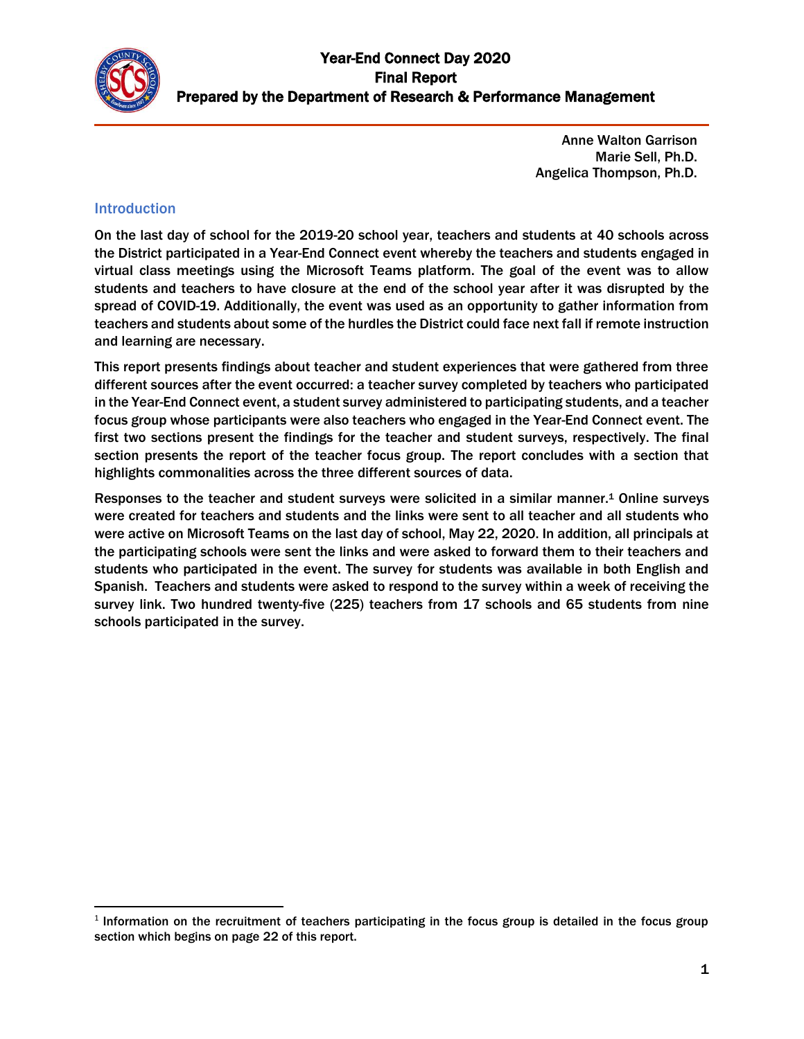

Anne Walton Garrison Marie Sell, Ph.D. Angelica Thompson, Ph.D.

#### Introduction

 $\overline{\phantom{a}}$ 

On the last day of school for the 2019-20 school year, teachers and students at 40 schools across the District participated in a Year-End Connect event whereby the teachers and students engaged in virtual class meetings using the Microsoft Teams platform. The goal of the event was to allow students and teachers to have closure at the end of the school year after it was disrupted by the spread of COVID-19. Additionally, the event was used as an opportunity to gather information from teachers and students about some of the hurdles the District could face next fall if remote instruction and learning are necessary.

This report presents findings about teacher and student experiences that were gathered from three different sources after the event occurred: a teacher survey completed by teachers who participated in the Year-End Connect event, a student survey administered to participating students, and a teacher focus group whose participants were also teachers who engaged in the Year-End Connect event. The first two sections present the findings for the teacher and student surveys, respectively. The final section presents the report of the teacher focus group. The report concludes with a section that highlights commonalities across the three different sources of data.

Responses to the teacher and student surveys were solicited in a similar manner.<sup>1</sup> Online surveys were created for teachers and students and the links were sent to all teacher and all students who were active on Microsoft Teams on the last day of school, May 22, 2020. In addition, all principals at the participating schools were sent the links and were asked to forward them to their teachers and students who participated in the event. The survey for students was available in both English and Spanish. Teachers and students were asked to respond to the survey within a week of receiving the survey link. Two hundred twenty-five (225) teachers from 17 schools and 65 students from nine schools participated in the survey.

<sup>&</sup>lt;sup>1</sup> Information on the recruitment of teachers participating in the focus group is detailed in the focus group section which begins on page 22 of this report.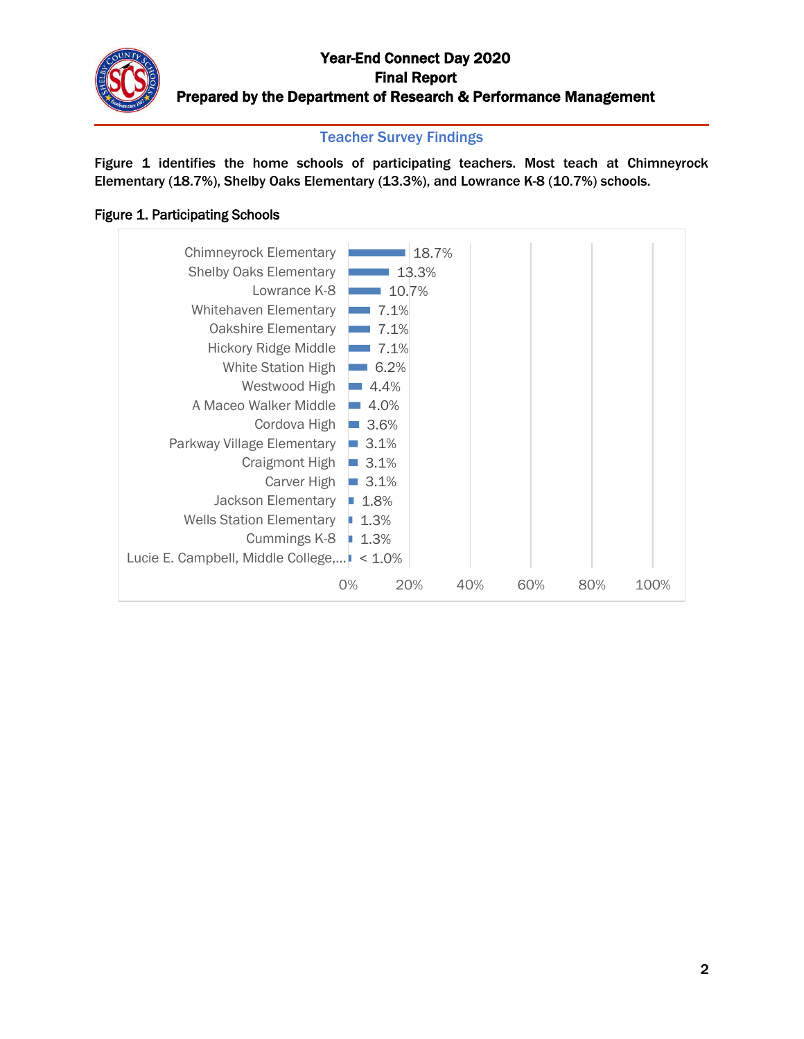#### Teacher Survey Findings

Figure 1 identifies the home schools of participating teachers. Most teach at Chimneyrock Elementary (18.7%), Shelby Oaks Elementary (13.3%), and Lowrance K-8 (10.7%) schools.

#### Figure 1. Participating Schools

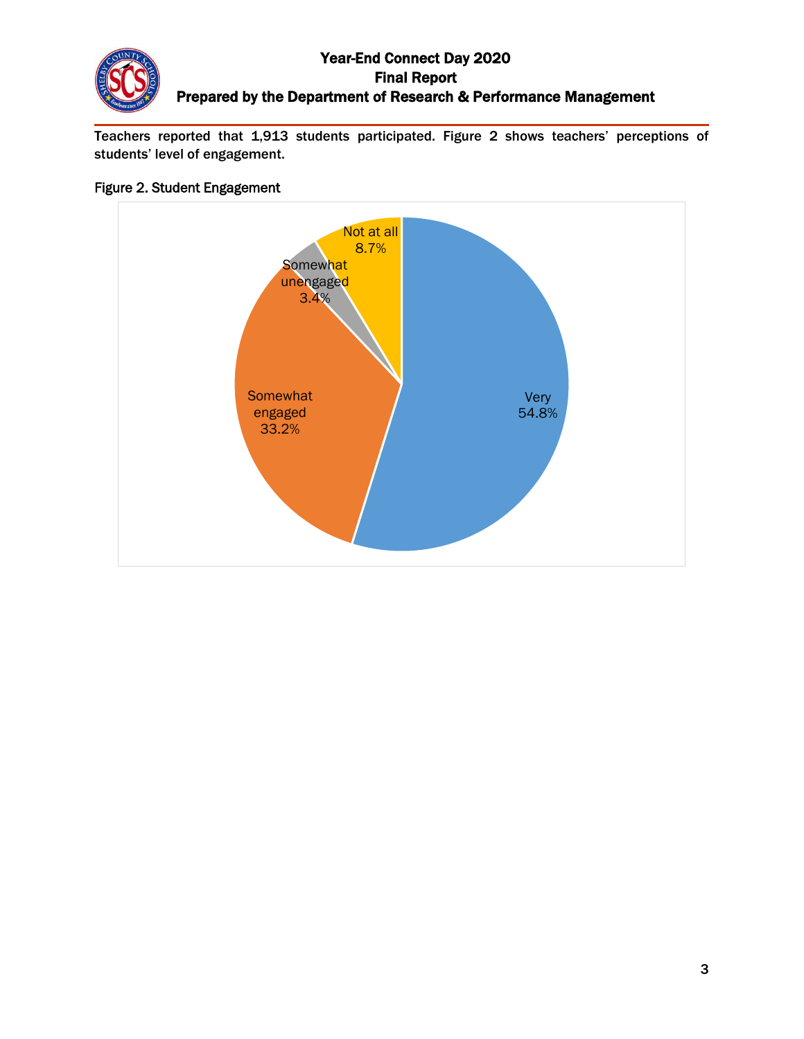Teachers reported that 1,913 students participated. Figure 2 shows teachers' perceptions of students' level of engagement.

#### Figure 2. Student Engagement

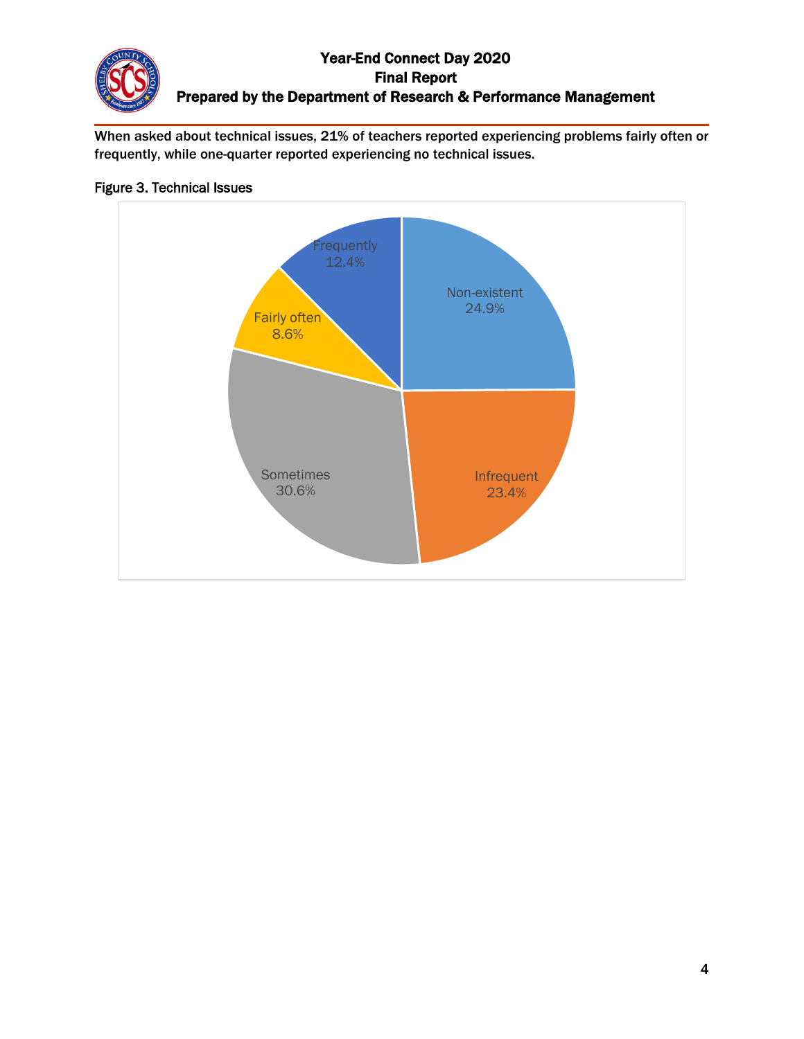When asked about technical issues, 21% of teachers reported experiencing problems fairly often or frequently, while one-quarter reported experiencing no technical issues.

### Figure 3. Technical Issues

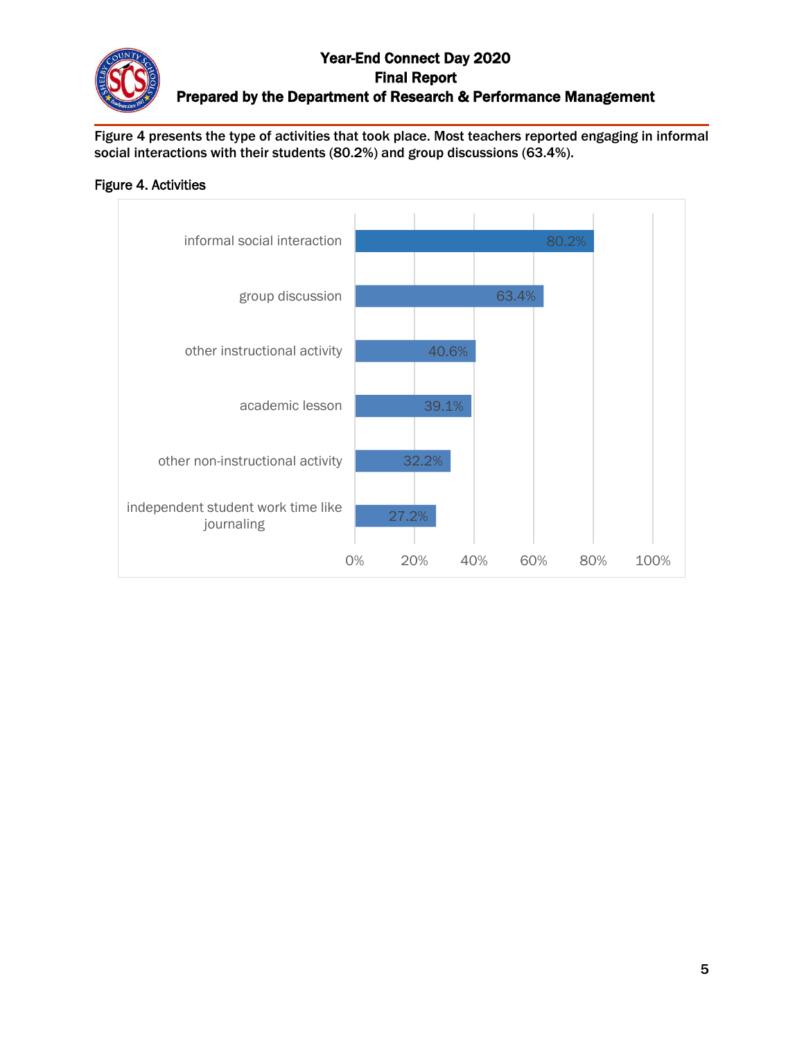Figure 4 presents the type of activities that took place. Most teachers reported engaging in informal social interactions with their students (80.2%) and group discussions (63.4%).

### Figure 4. Activities

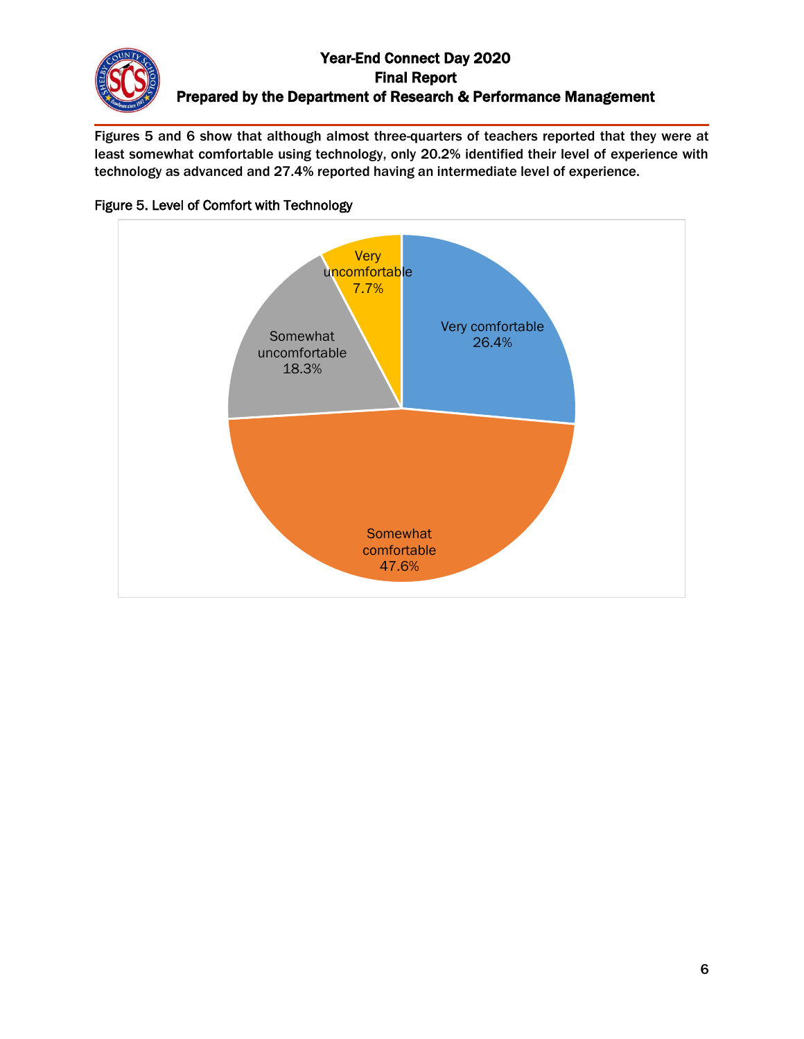Figures 5 and 6 show that although almost three-quarters of teachers reported that they were at least somewhat comfortable using technology, only 20.2% identified their level of experience with technology as advanced and 27.4% reported having an intermediate level of experience.



## Figure 5. Level of Comfort with Technology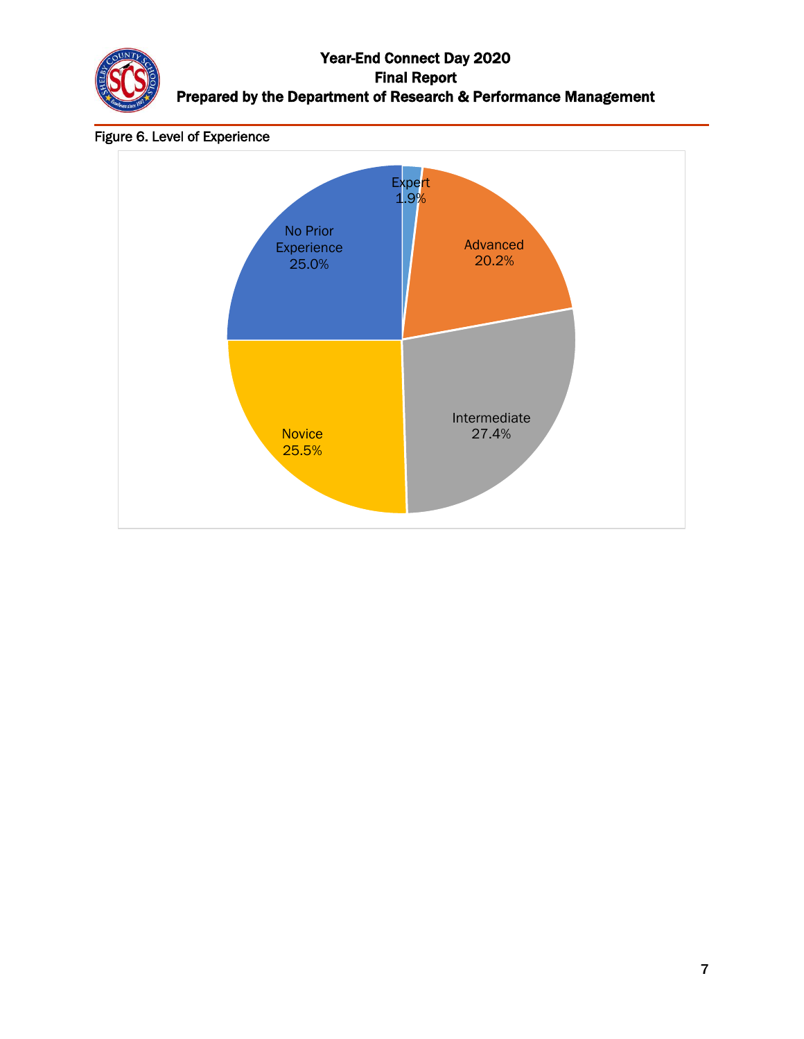

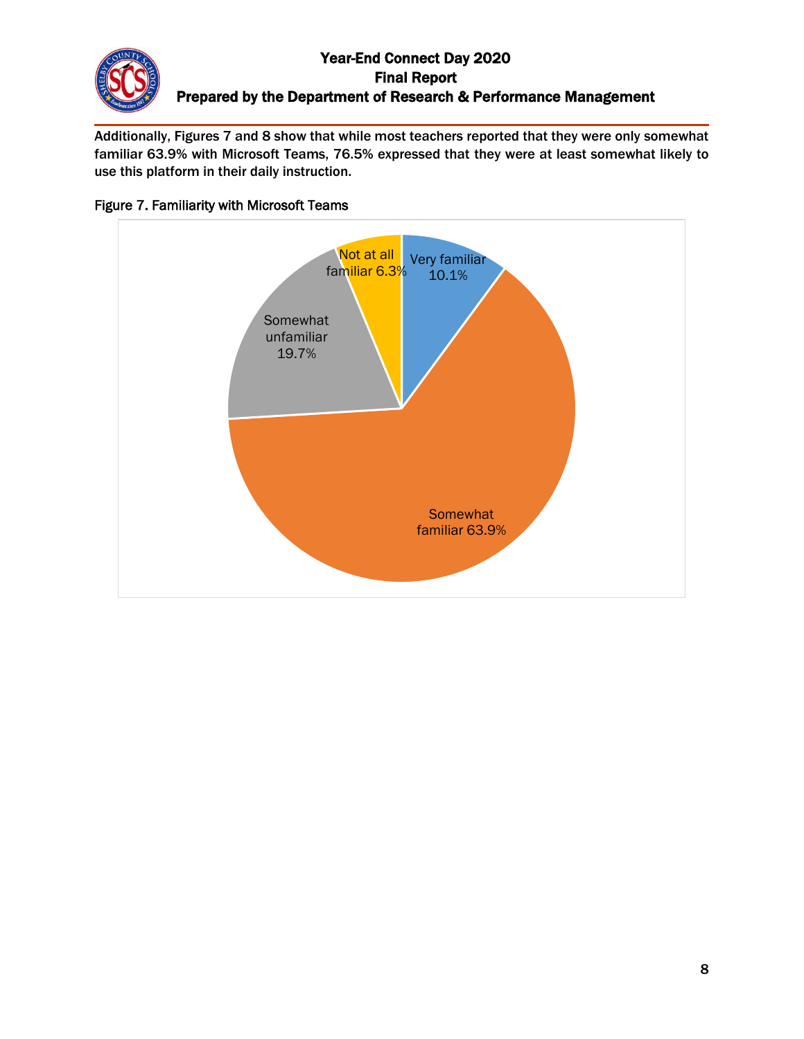Additionally, Figures 7 and 8 show that while most teachers reported that they were only somewhat familiar 63.9% with Microsoft Teams, 76.5% expressed that they were at least somewhat likely to use this platform in their daily instruction.



#### Figure 7. Familiarity with Microsoft Teams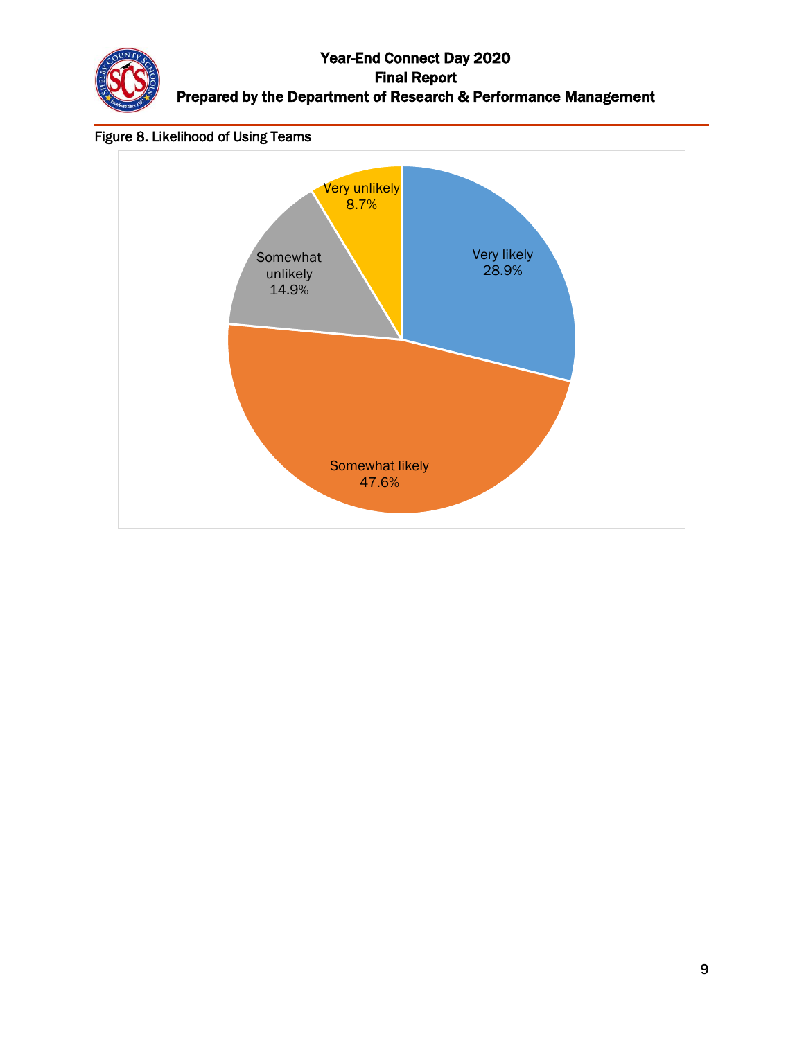

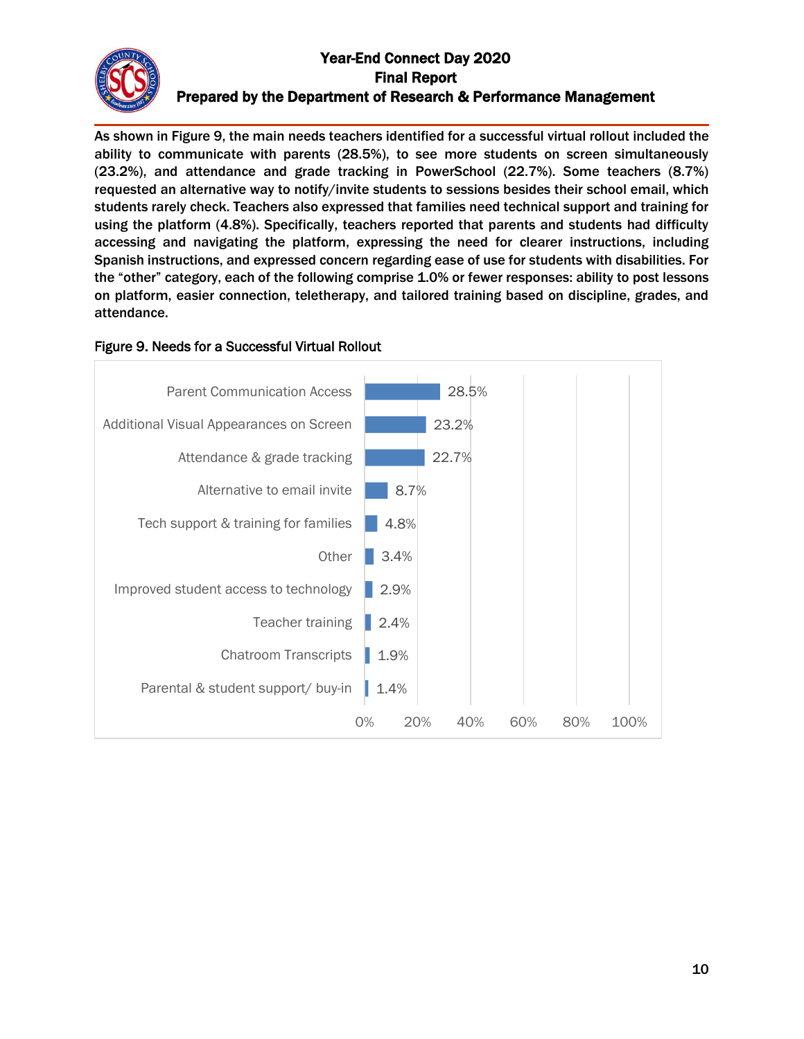

As shown in Figure 9, the main needs teachers identified for a successful virtual rollout included the ability to communicate with parents (28.5%), to see more students on screen simultaneously (23.2%), and attendance and grade tracking in PowerSchool (22.7%). Some teachers (8.7%) requested an alternative way to notify/invite students to sessions besides their school email, which students rarely check. Teachers also expressed that families need technical support and training for using the platform (4.8%). Specifically, teachers reported that parents and students had difficulty accessing and navigating the platform, expressing the need for clearer instructions, including Spanish instructions, and expressed concern regarding ease of use for students with disabilities. For the "other" category, each of the following comprise 1.0% or fewer responses: ability to post lessons on platform, easier connection, teletherapy, and tailored training based on discipline, grades, and attendance.



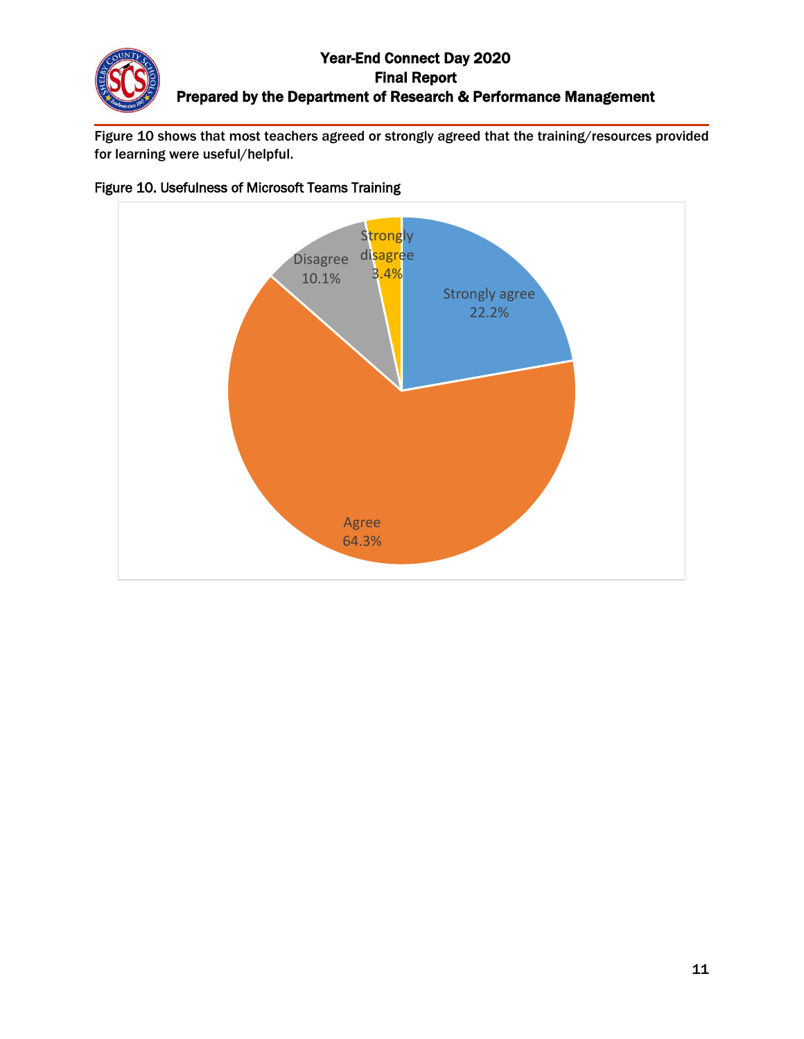Figure 10 shows that most teachers agreed or strongly agreed that the training/resources provided for learning were useful/helpful.



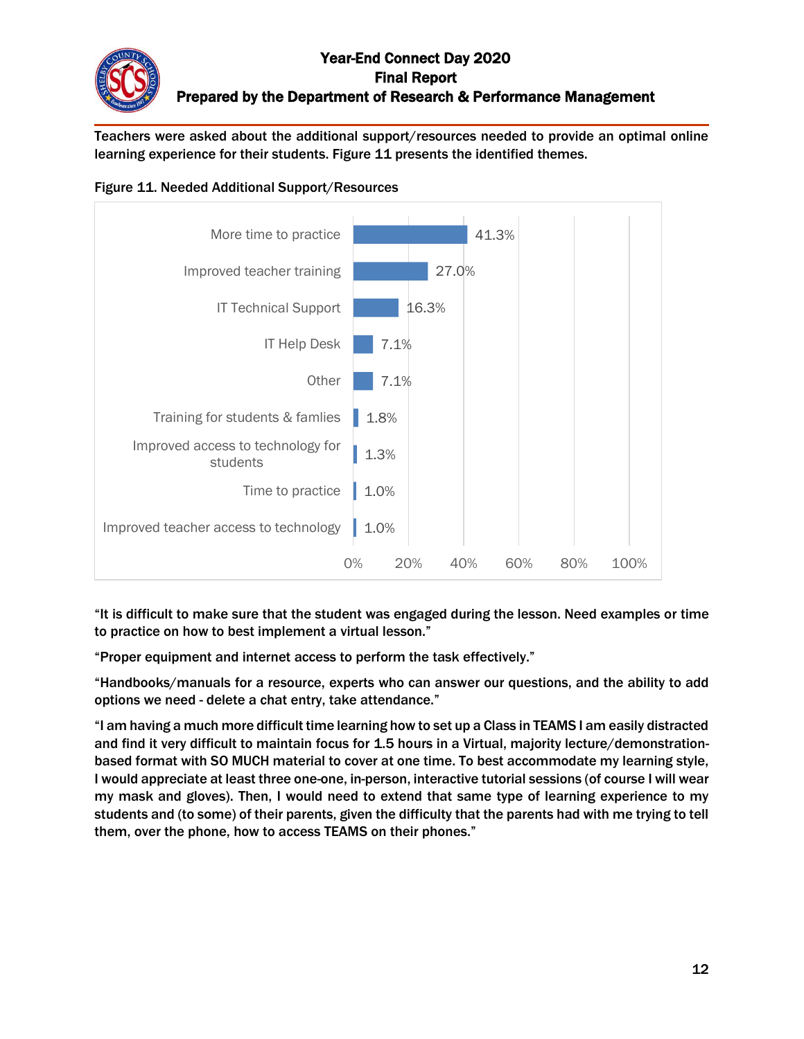Teachers were asked about the additional support/resources needed to provide an optimal online learning experience for their students. Figure 11 presents the identified themes.





"It is difficult to make sure that the student was engaged during the lesson. Need examples or time to practice on how to best implement a virtual lesson."

"Proper equipment and internet access to perform the task effectively."

"Handbooks/manuals for a resource, experts who can answer our questions, and the ability to add options we need - delete a chat entry, take attendance."

"I am having a much more difficult time learning how to set up a Class in TEAMS I am easily distracted and find it very difficult to maintain focus for 1.5 hours in a Virtual, majority lecture/demonstrationbased format with SO MUCH material to cover at one time. To best accommodate my learning style, I would appreciate at least three one-one, in-person, interactive tutorial sessions (of course I will wear my mask and gloves). Then, I would need to extend that same type of learning experience to my students and (to some) of their parents, given the difficulty that the parents had with me trying to tell them, over the phone, how to access TEAMS on their phones."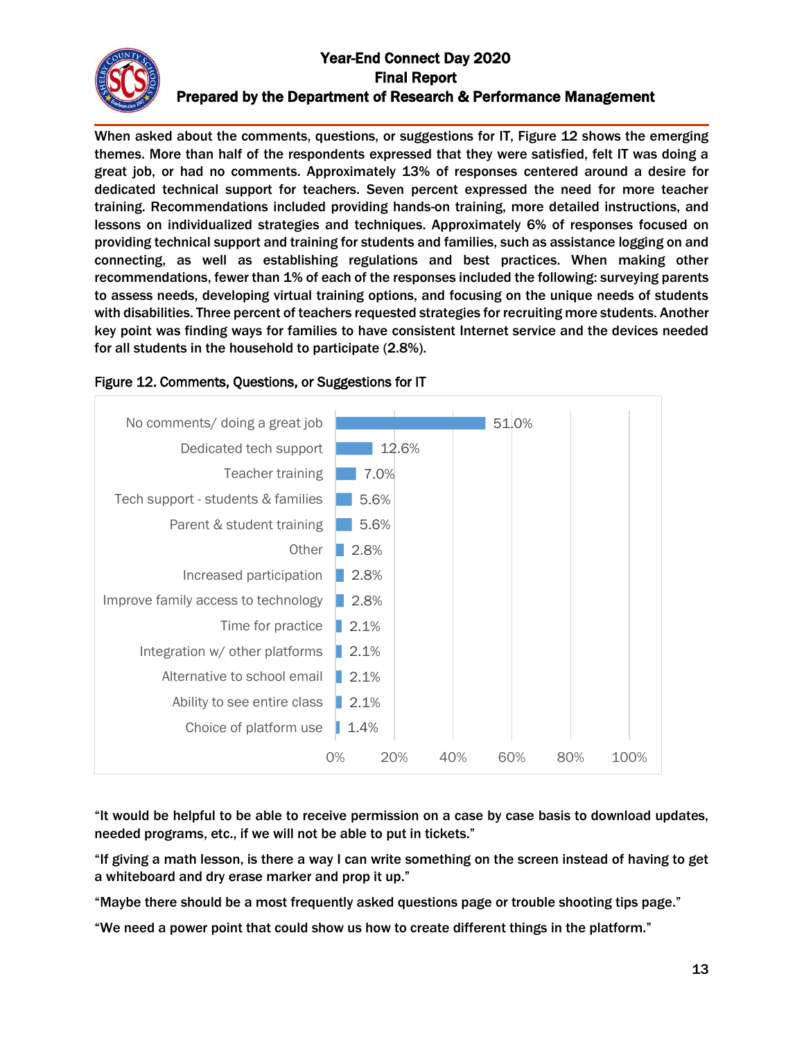When asked about the comments, questions, or suggestions for IT, Figure 12 shows the emerging themes. More than half of the respondents expressed that they were satisfied, felt IT was doing a great job, or had no comments. Approximately 13% of responses centered around a desire for dedicated technical support for teachers. Seven percent expressed the need for more teacher training. Recommendations included providing hands-on training, more detailed instructions, and lessons on individualized strategies and techniques. Approximately 6% of responses focused on providing technical support and training for students and families, such as assistance logging on and connecting, as well as establishing regulations and best practices. When making other recommendations, fewer than 1% of each of the responses included the following: surveying parents to assess needs, developing virtual training options, and focusing on the unique needs of students with disabilities. Three percent of teachers requested strategies for recruiting more students. Another key point was finding ways for families to have consistent Internet service and the devices needed for all students in the household to participate (2.8%).



## Figure 12. Comments, Questions, or Suggestions for IT

"It would be helpful to be able to receive permission on a case by case basis to download updates, needed programs, etc., if we will not be able to put in tickets."

"If giving a math lesson, is there a way I can write something on the screen instead of having to get a whiteboard and dry erase marker and prop it up."

"Maybe there should be a most frequently asked questions page or trouble shooting tips page."

"We need a power point that could show us how to create different things in the platform."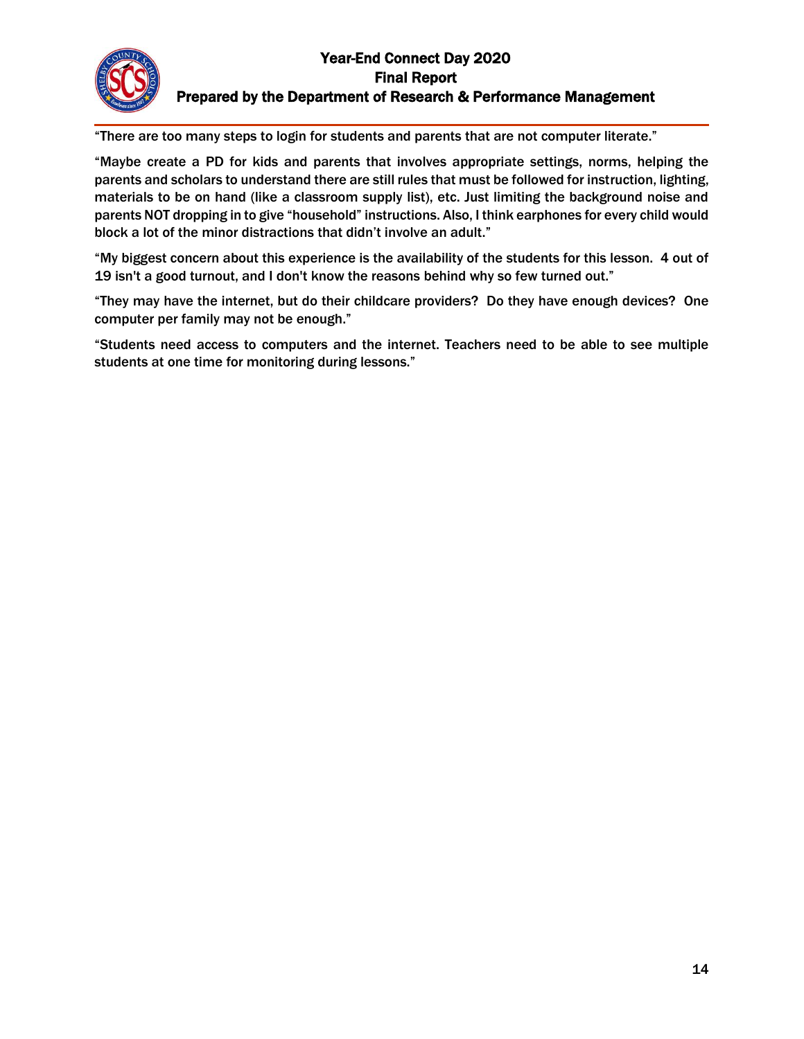"There are too many steps to login for students and parents that are not computer literate."

"Maybe create a PD for kids and parents that involves appropriate settings, norms, helping the parents and scholars to understand there are still rules that must be followed for instruction, lighting, materials to be on hand (like a classroom supply list), etc. Just limiting the background noise and parents NOT dropping in to give "household" instructions. Also, I think earphones for every child would block a lot of the minor distractions that didn't involve an adult."

"My biggest concern about this experience is the availability of the students for this lesson. 4 out of 19 isn't a good turnout, and I don't know the reasons behind why so few turned out."

"They may have the internet, but do their childcare providers? Do they have enough devices? One computer per family may not be enough."

"Students need access to computers and the internet. Teachers need to be able to see multiple students at one time for monitoring during lessons."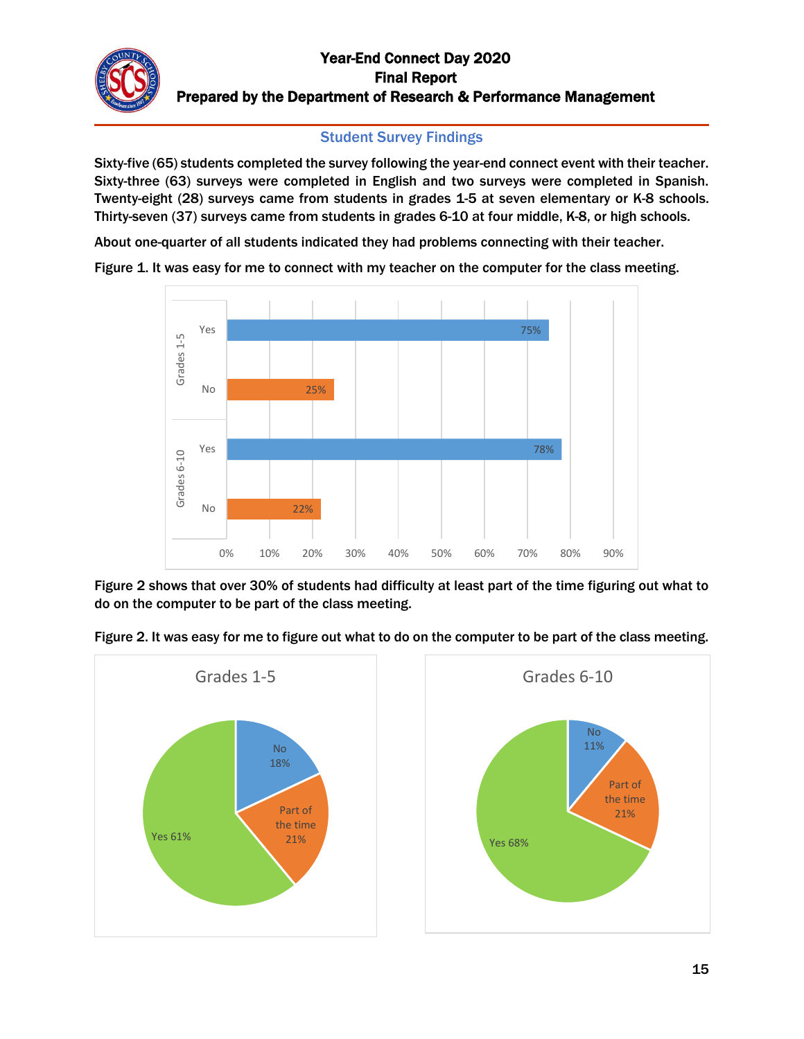## Student Survey Findings

Sixty-five (65) students completed the survey following the year-end connect event with their teacher. Sixty-three (63) surveys were completed in English and two surveys were completed in Spanish. Twenty-eight (28) surveys came from students in grades 1-5 at seven elementary or K-8 schools. Thirty-seven (37) surveys came from students in grades 6-10 at four middle, K-8, or high schools.

About one-quarter of all students indicated they had problems connecting with their teacher.





Figure 2 shows that over 30% of students had difficulty at least part of the time figuring out what to do on the computer to be part of the class meeting.



Figure 2. It was easy for me to figure out what to do on the computer to be part of the class meeting.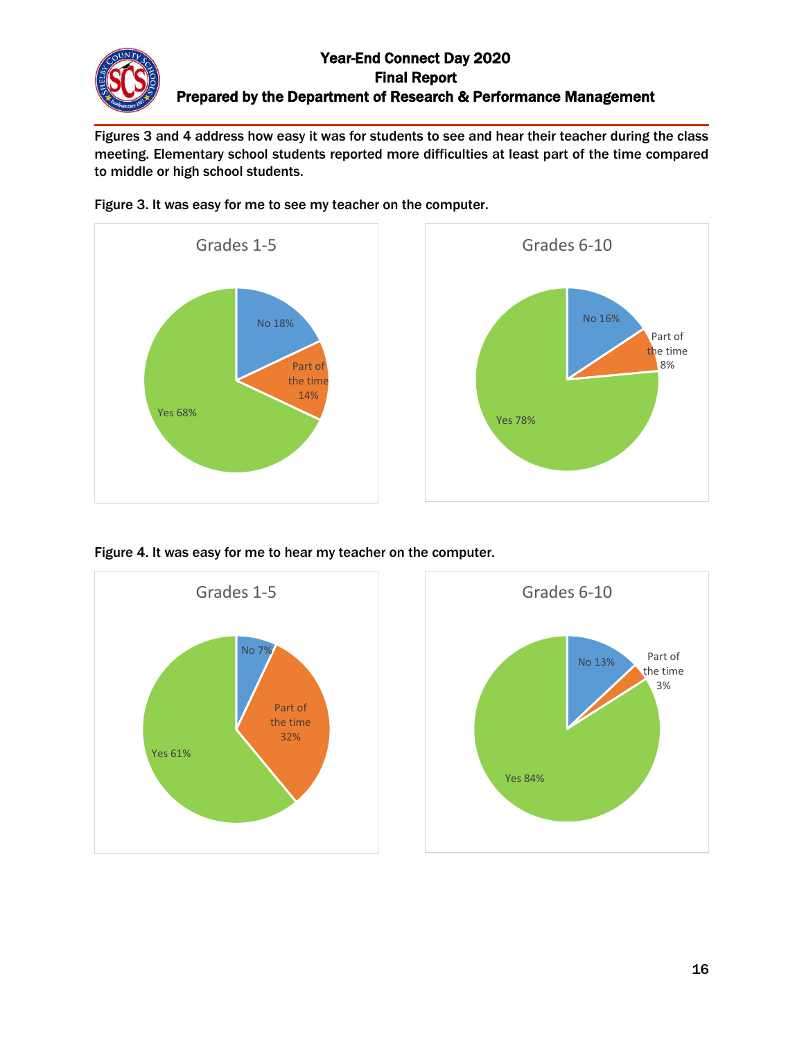Figures 3 and 4 address how easy it was for students to see and hear their teacher during the class meeting. Elementary school students reported more difficulties at least part of the time compared to middle or high school students.



Figure 3. It was easy for me to see my teacher on the computer.

Figure 4. It was easy for me to hear my teacher on the computer.



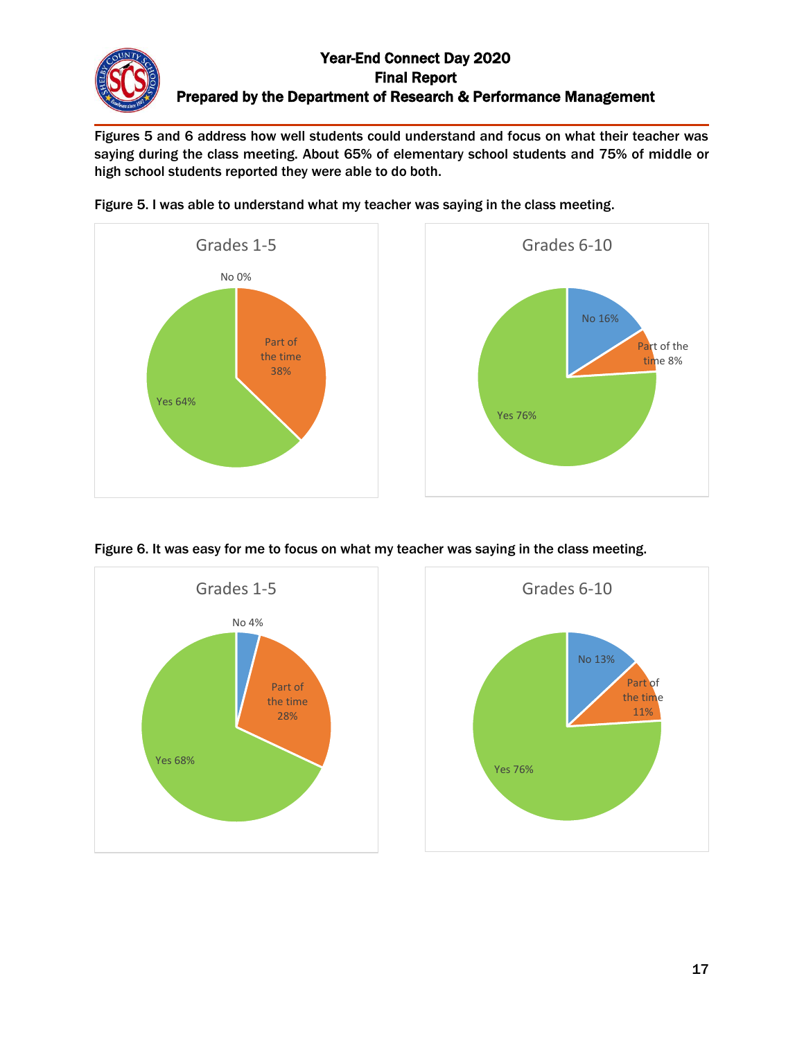Figures 5 and 6 address how well students could understand and focus on what their teacher was saying during the class meeting. About 65% of elementary school students and 75% of middle or high school students reported they were able to do both.



Figure 5. I was able to understand what my teacher was saying in the class meeting.

Figure 6. It was easy for me to focus on what my teacher was saying in the class meeting.



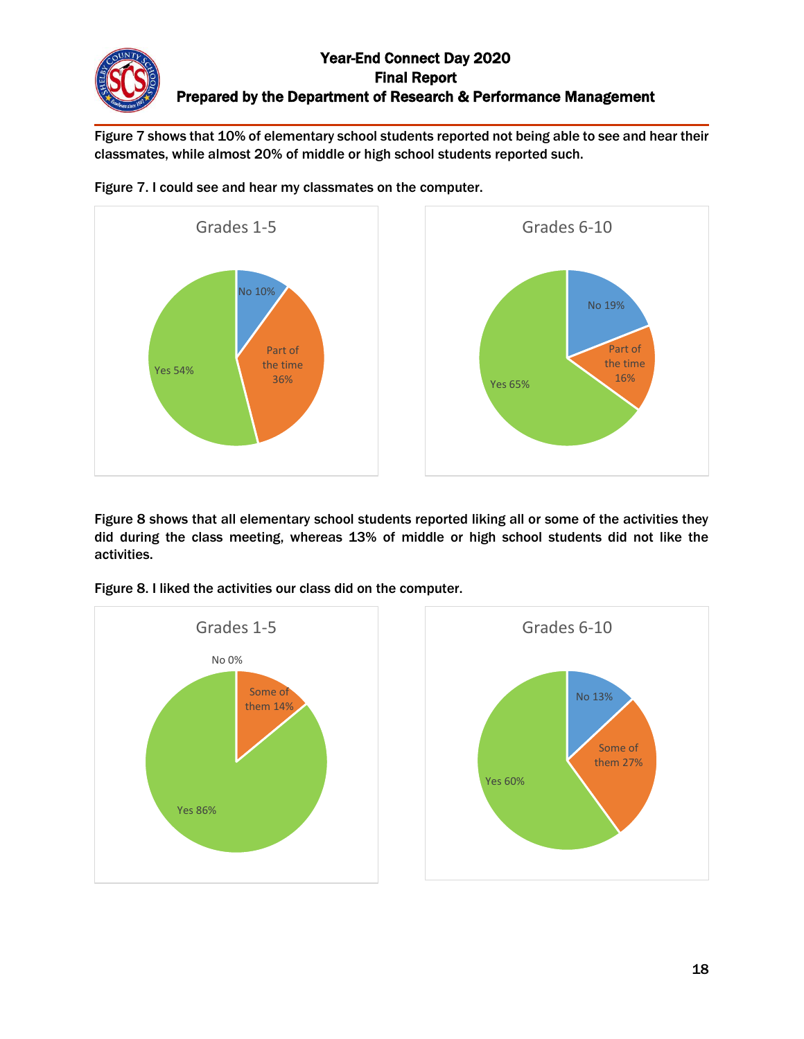Figure 7 shows that 10% of elementary school students reported not being able to see and hear their classmates, while almost 20% of middle or high school students reported such.



Figure 7. I could see and hear my classmates on the computer.

Figure 8 shows that all elementary school students reported liking all or some of the activities they did during the class meeting, whereas 13% of middle or high school students did not like the activities.



Figure 8. I liked the activities our class did on the computer.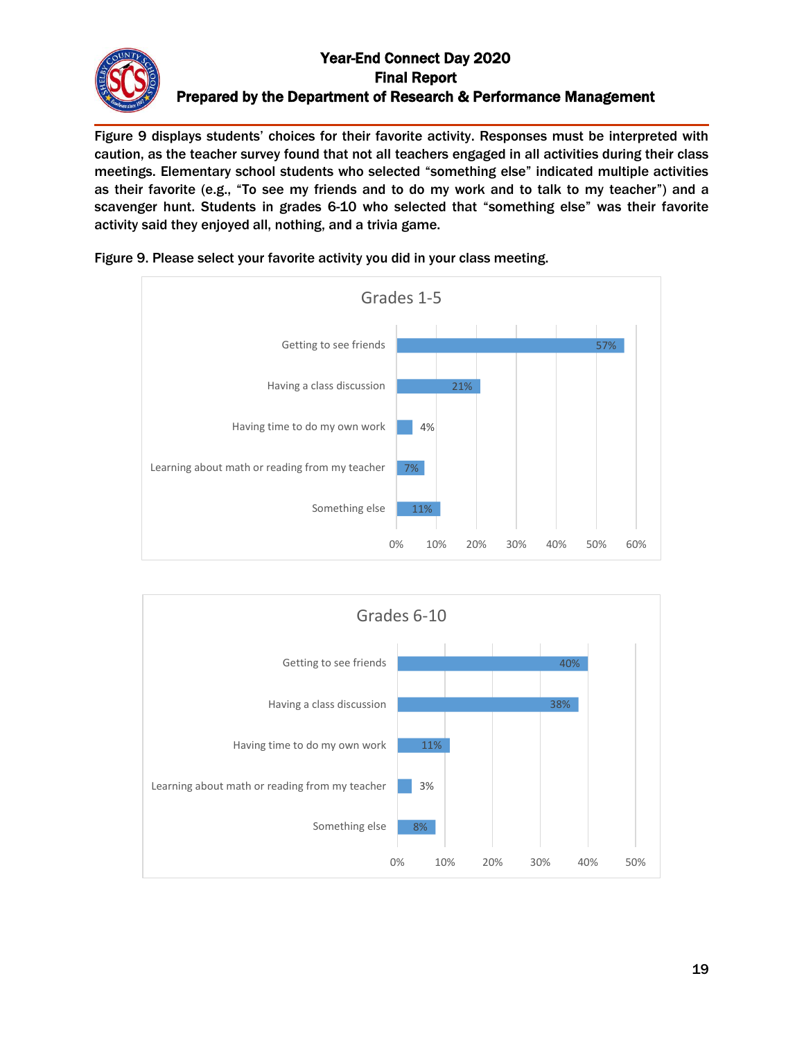Figure 9 displays students' choices for their favorite activity. Responses must be interpreted with caution, as the teacher survey found that not all teachers engaged in all activities during their class meetings. Elementary school students who selected "something else" indicated multiple activities as their favorite (e.g., "To see my friends and to do my work and to talk to my teacher") and a scavenger hunt. Students in grades 6-10 who selected that "something else" was their favorite activity said they enjoyed all, nothing, and a trivia game.



Figure 9. Please select your favorite activity you did in your class meeting.

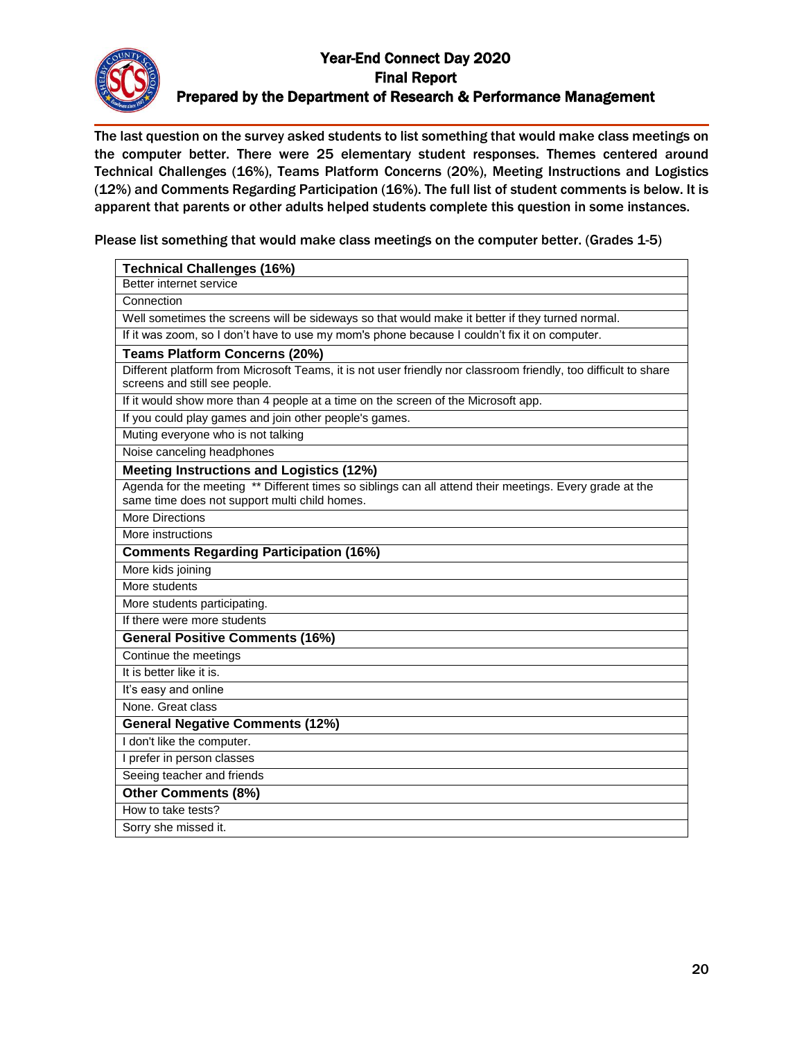

The last question on the survey asked students to list something that would make class meetings on the computer better. There were 25 elementary student responses. Themes centered around Technical Challenges (16%), Teams Platform Concerns (20%), Meeting Instructions and Logistics (12%) and Comments Regarding Participation (16%). The full list of student comments is below. It is apparent that parents or other adults helped students complete this question in some instances.

Please list something that would make class meetings on the computer better. (Grades 1-5)

| <b>Technical Challenges (16%)</b>                                                                                                                        |
|----------------------------------------------------------------------------------------------------------------------------------------------------------|
| Better internet service                                                                                                                                  |
| Connection                                                                                                                                               |
| Well sometimes the screens will be sideways so that would make it better if they turned normal.                                                          |
| If it was zoom, so I don't have to use my mom's phone because I couldn't fix it on computer.                                                             |
| <b>Teams Platform Concerns (20%)</b>                                                                                                                     |
| Different platform from Microsoft Teams, it is not user friendly nor classroom friendly, too difficult to share<br>screens and still see people.         |
| If it would show more than 4 people at a time on the screen of the Microsoft app.                                                                        |
| If you could play games and join other people's games.                                                                                                   |
| Muting everyone who is not talking                                                                                                                       |
| Noise canceling headphones                                                                                                                               |
| <b>Meeting Instructions and Logistics (12%)</b>                                                                                                          |
| Agenda for the meeting ** Different times so siblings can all attend their meetings. Every grade at the<br>same time does not support multi child homes. |
| <b>More Directions</b>                                                                                                                                   |
| More instructions                                                                                                                                        |
| <b>Comments Regarding Participation (16%)</b>                                                                                                            |
| More kids joining                                                                                                                                        |
| More students                                                                                                                                            |
| More students participating.                                                                                                                             |
| If there were more students                                                                                                                              |
| <b>General Positive Comments (16%)</b>                                                                                                                   |
| Continue the meetings                                                                                                                                    |
| It is better like it is.                                                                                                                                 |
| It's easy and online                                                                                                                                     |
| None. Great class                                                                                                                                        |
| <b>General Negative Comments (12%)</b>                                                                                                                   |
| I don't like the computer.                                                                                                                               |
| I prefer in person classes                                                                                                                               |
| Seeing teacher and friends                                                                                                                               |
| <b>Other Comments (8%)</b>                                                                                                                               |
| How to take tests?                                                                                                                                       |
| Sorry she missed it.                                                                                                                                     |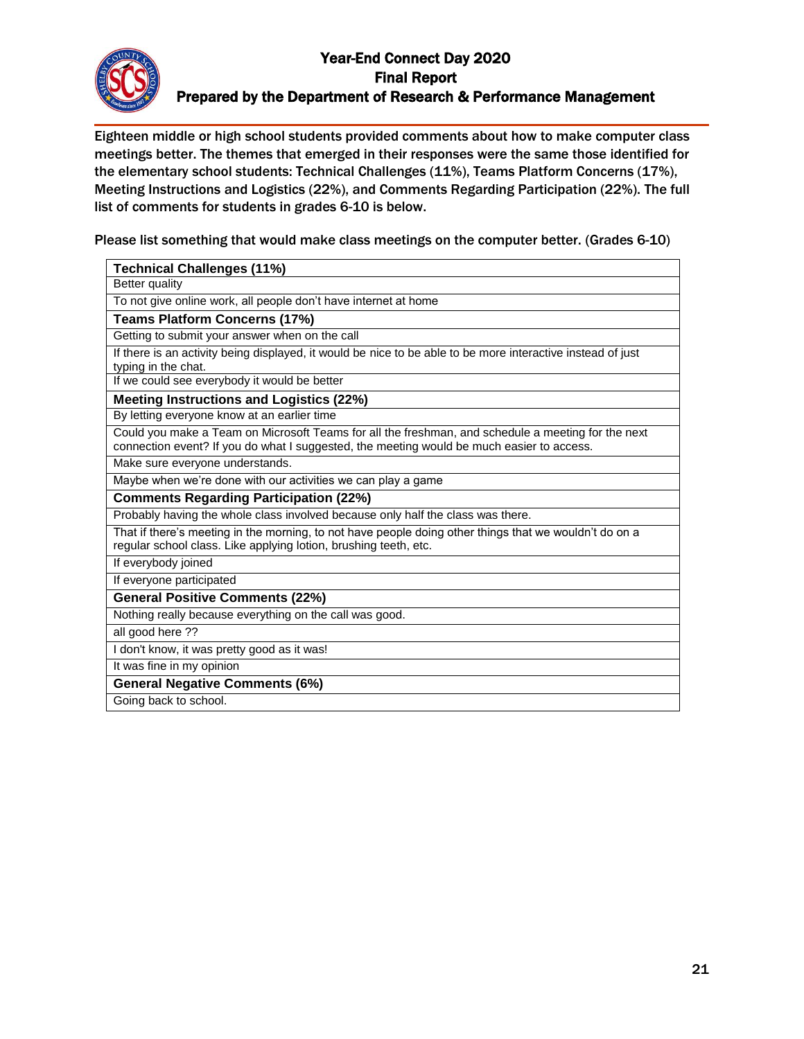

Eighteen middle or high school students provided comments about how to make computer class meetings better. The themes that emerged in their responses were the same those identified for the elementary school students: Technical Challenges (11%), Teams Platform Concerns (17%), Meeting Instructions and Logistics (22%), and Comments Regarding Participation (22%). The full list of comments for students in grades 6-10 is below.

Please list something that would make class meetings on the computer better. (Grades 6-10)

| <b>Technical Challenges (11%)</b>                                                                                                                                                               |
|-------------------------------------------------------------------------------------------------------------------------------------------------------------------------------------------------|
| Better quality                                                                                                                                                                                  |
| To not give online work, all people don't have internet at home                                                                                                                                 |
| <b>Teams Platform Concerns (17%)</b>                                                                                                                                                            |
| Getting to submit your answer when on the call                                                                                                                                                  |
| If there is an activity being displayed, it would be nice to be able to be more interactive instead of just<br>typing in the chat.                                                              |
| If we could see everybody it would be better                                                                                                                                                    |
| <b>Meeting Instructions and Logistics (22%)</b>                                                                                                                                                 |
| By letting everyone know at an earlier time                                                                                                                                                     |
| Could you make a Team on Microsoft Teams for all the freshman, and schedule a meeting for the next<br>connection event? If you do what I suggested, the meeting would be much easier to access. |
| Make sure everyone understands.                                                                                                                                                                 |
| Maybe when we're done with our activities we can play a game                                                                                                                                    |
| <b>Comments Regarding Participation (22%)</b>                                                                                                                                                   |
| Probably having the whole class involved because only half the class was there.                                                                                                                 |
| That if there's meeting in the morning, to not have people doing other things that we wouldn't do on a<br>regular school class. Like applying lotion, brushing teeth, etc.                      |
| If everybody joined                                                                                                                                                                             |
| If everyone participated                                                                                                                                                                        |
| <b>General Positive Comments (22%)</b>                                                                                                                                                          |
| Nothing really because everything on the call was good.                                                                                                                                         |
| all good here ??                                                                                                                                                                                |
| I don't know, it was pretty good as it was!                                                                                                                                                     |
| It was fine in my opinion                                                                                                                                                                       |
| <b>General Negative Comments (6%)</b>                                                                                                                                                           |
| Going back to school.                                                                                                                                                                           |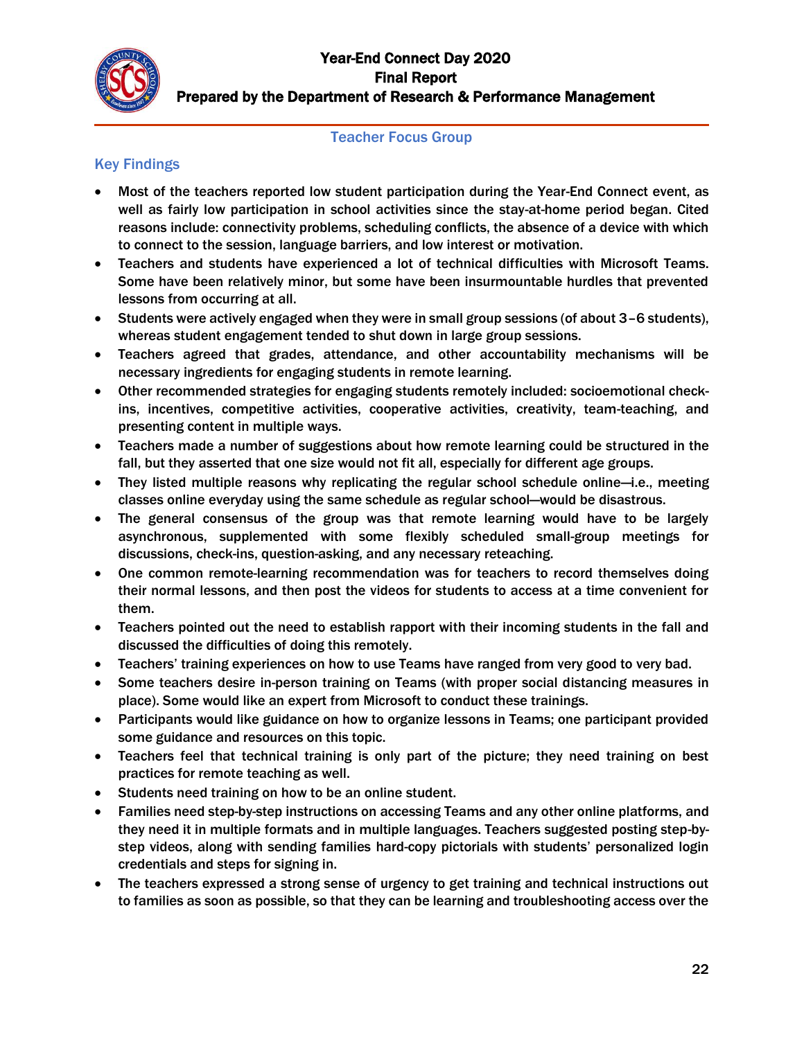

#### Teacher Focus Group

## Key Findings

- Most of the teachers reported low student participation during the Year-End Connect event, as well as fairly low participation in school activities since the stay-at-home period began. Cited reasons include: connectivity problems, scheduling conflicts, the absence of a device with which to connect to the session, language barriers, and low interest or motivation.
- Teachers and students have experienced a lot of technical difficulties with Microsoft Teams. Some have been relatively minor, but some have been insurmountable hurdles that prevented lessons from occurring at all.
- Students were actively engaged when they were in small group sessions (of about 3–6 students), whereas student engagement tended to shut down in large group sessions.
- Teachers agreed that grades, attendance, and other accountability mechanisms will be necessary ingredients for engaging students in remote learning.
- Other recommended strategies for engaging students remotely included: socioemotional checkins, incentives, competitive activities, cooperative activities, creativity, team-teaching, and presenting content in multiple ways.
- Teachers made a number of suggestions about how remote learning could be structured in the fall, but they asserted that one size would not fit all, especially for different age groups.
- They listed multiple reasons why replicating the regular school schedule online—i.e., meeting classes online everyday using the same schedule as regular school—would be disastrous.
- The general consensus of the group was that remote learning would have to be largely asynchronous, supplemented with some flexibly scheduled small-group meetings for discussions, check-ins, question-asking, and any necessary reteaching.
- One common remote-learning recommendation was for teachers to record themselves doing their normal lessons, and then post the videos for students to access at a time convenient for them.
- Teachers pointed out the need to establish rapport with their incoming students in the fall and discussed the difficulties of doing this remotely.
- Teachers' training experiences on how to use Teams have ranged from very good to very bad.
- Some teachers desire in-person training on Teams (with proper social distancing measures in place). Some would like an expert from Microsoft to conduct these trainings.
- Participants would like guidance on how to organize lessons in Teams; one participant provided some guidance and resources on this topic.
- Teachers feel that technical training is only part of the picture; they need training on best practices for remote teaching as well.
- Students need training on how to be an online student.
- Families need step-by-step instructions on accessing Teams and any other online platforms, and they need it in multiple formats and in multiple languages. Teachers suggested posting step-bystep videos, along with sending families hard-copy pictorials with students' personalized login credentials and steps for signing in.
- The teachers expressed a strong sense of urgency to get training and technical instructions out to families as soon as possible, so that they can be learning and troubleshooting access over the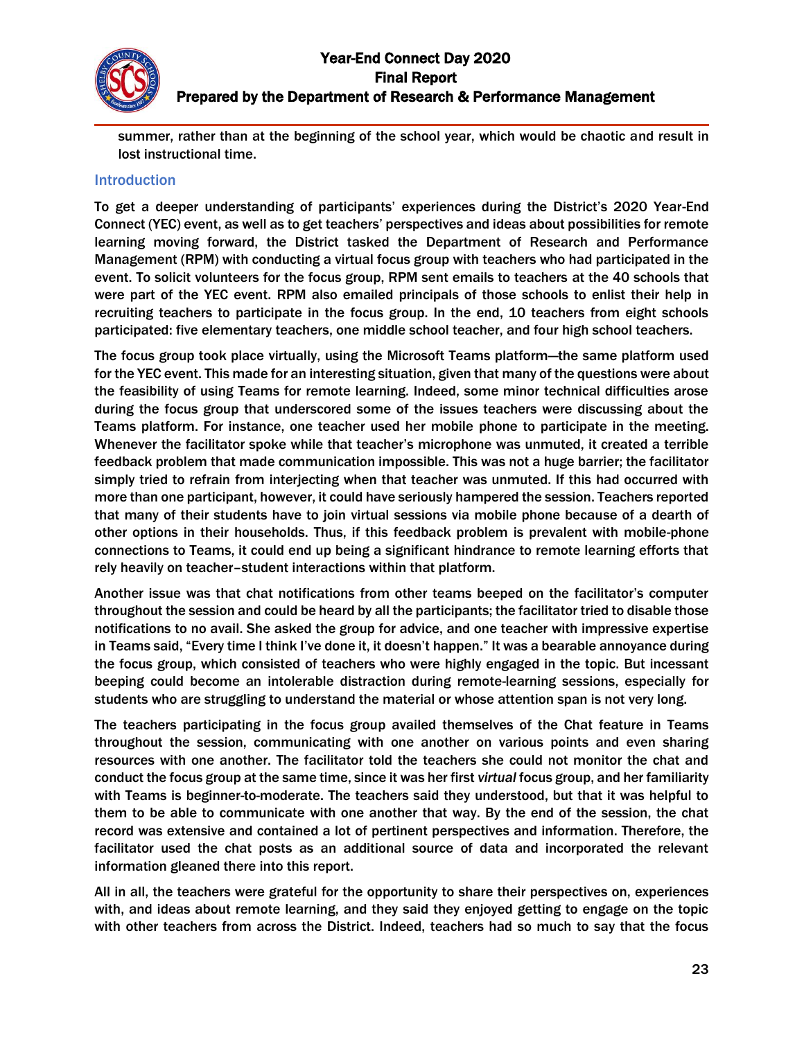

summer, rather than at the beginning of the school year, which would be chaotic and result in lost instructional time.

#### Introduction

To get a deeper understanding of participants' experiences during the District's 2020 Year-End Connect (YEC) event, as well as to get teachers' perspectives and ideas about possibilities for remote learning moving forward, the District tasked the Department of Research and Performance Management (RPM) with conducting a virtual focus group with teachers who had participated in the event. To solicit volunteers for the focus group, RPM sent emails to teachers at the 40 schools that were part of the YEC event. RPM also emailed principals of those schools to enlist their help in recruiting teachers to participate in the focus group. In the end, 10 teachers from eight schools participated: five elementary teachers, one middle school teacher, and four high school teachers.

The focus group took place virtually, using the Microsoft Teams platform—the same platform used for the YEC event. This made for an interesting situation, given that many of the questions were about the feasibility of using Teams for remote learning. Indeed, some minor technical difficulties arose during the focus group that underscored some of the issues teachers were discussing about the Teams platform. For instance, one teacher used her mobile phone to participate in the meeting. Whenever the facilitator spoke while that teacher's microphone was unmuted, it created a terrible feedback problem that made communication impossible. This was not a huge barrier; the facilitator simply tried to refrain from interjecting when that teacher was unmuted. If this had occurred with more than one participant, however, it could have seriously hampered the session. Teachers reported that many of their students have to join virtual sessions via mobile phone because of a dearth of other options in their households. Thus, if this feedback problem is prevalent with mobile-phone connections to Teams, it could end up being a significant hindrance to remote learning efforts that rely heavily on teacher–student interactions within that platform.

Another issue was that chat notifications from other teams beeped on the facilitator's computer throughout the session and could be heard by all the participants; the facilitator tried to disable those notifications to no avail. She asked the group for advice, and one teacher with impressive expertise in Teams said, "Every time I think I've done it, it doesn't happen." It was a bearable annoyance during the focus group, which consisted of teachers who were highly engaged in the topic. But incessant beeping could become an intolerable distraction during remote-learning sessions, especially for students who are struggling to understand the material or whose attention span is not very long.

The teachers participating in the focus group availed themselves of the Chat feature in Teams throughout the session, communicating with one another on various points and even sharing resources with one another. The facilitator told the teachers she could not monitor the chat and conduct the focus group at the same time, since it was her first *virtual* focus group, and her familiarity with Teams is beginner-to-moderate. The teachers said they understood, but that it was helpful to them to be able to communicate with one another that way. By the end of the session, the chat record was extensive and contained a lot of pertinent perspectives and information. Therefore, the facilitator used the chat posts as an additional source of data and incorporated the relevant information gleaned there into this report.

All in all, the teachers were grateful for the opportunity to share their perspectives on, experiences with, and ideas about remote learning, and they said they enjoyed getting to engage on the topic with other teachers from across the District. Indeed, teachers had so much to say that the focus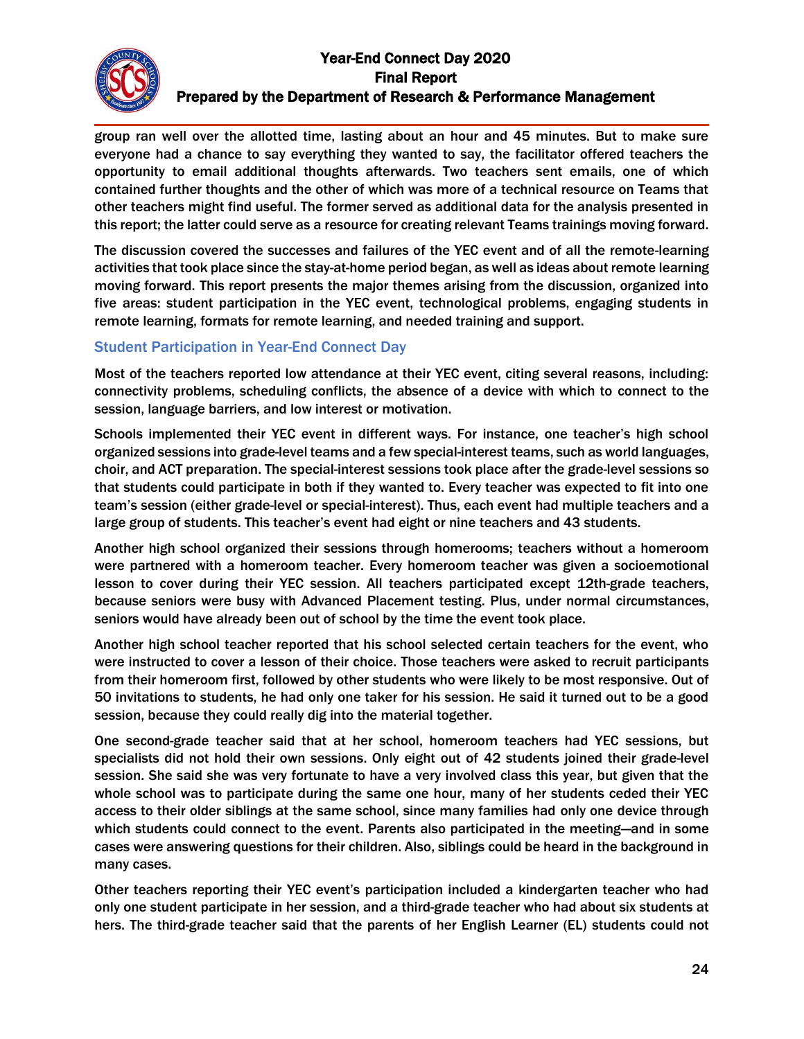group ran well over the allotted time, lasting about an hour and 45 minutes. But to make sure everyone had a chance to say everything they wanted to say, the facilitator offered teachers the opportunity to email additional thoughts afterwards. Two teachers sent emails, one of which contained further thoughts and the other of which was more of a technical resource on Teams that other teachers might find useful. The former served as additional data for the analysis presented in this report; the latter could serve as a resource for creating relevant Teams trainings moving forward.

The discussion covered the successes and failures of the YEC event and of all the remote-learning activities that took place since the stay-at-home period began, as well as ideas about remote learning moving forward. This report presents the major themes arising from the discussion, organized into five areas: student participation in the YEC event, technological problems, engaging students in remote learning, formats for remote learning, and needed training and support.

#### Student Participation in Year-End Connect Day

Most of the teachers reported low attendance at their YEC event, citing several reasons, including: connectivity problems, scheduling conflicts, the absence of a device with which to connect to the session, language barriers, and low interest or motivation.

Schools implemented their YEC event in different ways. For instance, one teacher's high school organized sessions into grade-level teams and a few special-interest teams, such as world languages, choir, and ACT preparation. The special-interest sessions took place after the grade-level sessions so that students could participate in both if they wanted to. Every teacher was expected to fit into one team's session (either grade-level or special-interest). Thus, each event had multiple teachers and a large group of students. This teacher's event had eight or nine teachers and 43 students.

Another high school organized their sessions through homerooms; teachers without a homeroom were partnered with a homeroom teacher. Every homeroom teacher was given a socioemotional lesson to cover during their YEC session. All teachers participated except 12th-grade teachers, because seniors were busy with Advanced Placement testing. Plus, under normal circumstances, seniors would have already been out of school by the time the event took place.

Another high school teacher reported that his school selected certain teachers for the event, who were instructed to cover a lesson of their choice. Those teachers were asked to recruit participants from their homeroom first, followed by other students who were likely to be most responsive. Out of 50 invitations to students, he had only one taker for his session. He said it turned out to be a good session, because they could really dig into the material together.

One second-grade teacher said that at her school, homeroom teachers had YEC sessions, but specialists did not hold their own sessions. Only eight out of 42 students joined their grade-level session. She said she was very fortunate to have a very involved class this year, but given that the whole school was to participate during the same one hour, many of her students ceded their YEC access to their older siblings at the same school, since many families had only one device through which students could connect to the event. Parents also participated in the meeting—and in some cases were answering questions for their children. Also, siblings could be heard in the background in many cases.

Other teachers reporting their YEC event's participation included a kindergarten teacher who had only one student participate in her session, and a third-grade teacher who had about six students at hers. The third-grade teacher said that the parents of her English Learner (EL) students could not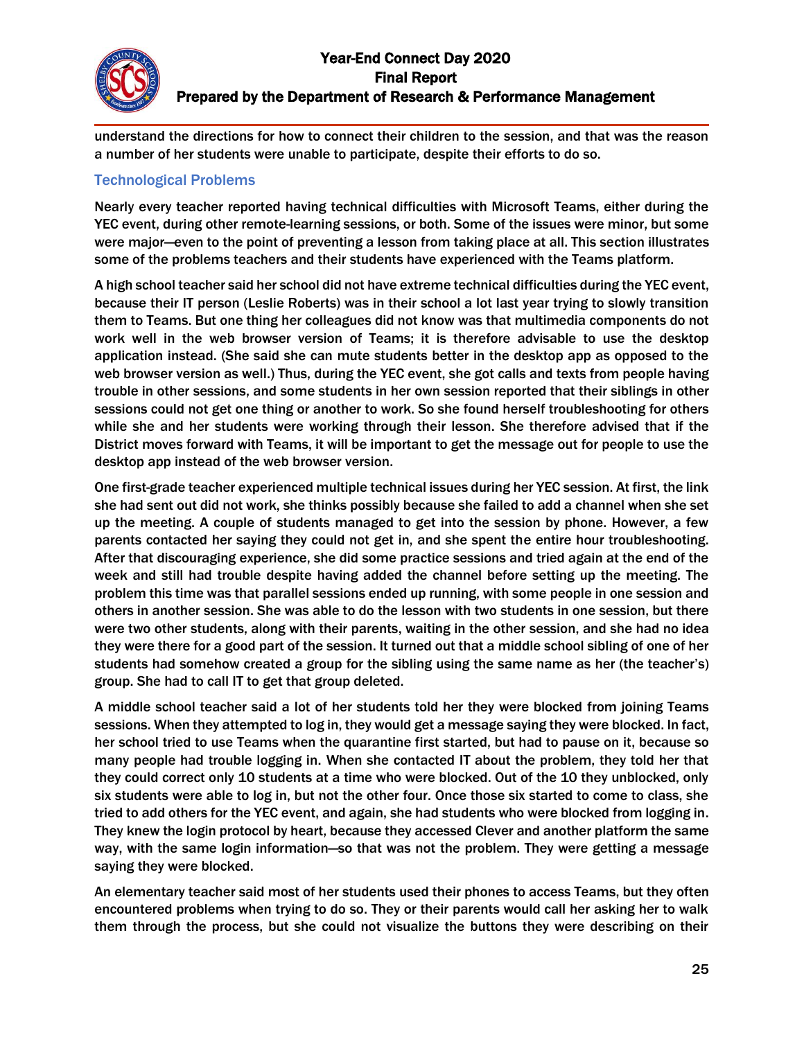

understand the directions for how to connect their children to the session, and that was the reason a number of her students were unable to participate, despite their efforts to do so.

#### Technological Problems

Nearly every teacher reported having technical difficulties with Microsoft Teams, either during the YEC event, during other remote-learning sessions, or both. Some of the issues were minor, but some were major—even to the point of preventing a lesson from taking place at all. This section illustrates some of the problems teachers and their students have experienced with the Teams platform.

A high school teacher said her school did not have extreme technical difficulties during the YEC event, because their IT person (Leslie Roberts) was in their school a lot last year trying to slowly transition them to Teams. But one thing her colleagues did not know was that multimedia components do not work well in the web browser version of Teams; it is therefore advisable to use the desktop application instead. (She said she can mute students better in the desktop app as opposed to the web browser version as well.) Thus, during the YEC event, she got calls and texts from people having trouble in other sessions, and some students in her own session reported that their siblings in other sessions could not get one thing or another to work. So she found herself troubleshooting for others while she and her students were working through their lesson. She therefore advised that if the District moves forward with Teams, it will be important to get the message out for people to use the desktop app instead of the web browser version.

One first-grade teacher experienced multiple technical issues during her YEC session. At first, the link she had sent out did not work, she thinks possibly because she failed to add a channel when she set up the meeting. A couple of students managed to get into the session by phone. However, a few parents contacted her saying they could not get in, and she spent the entire hour troubleshooting. After that discouraging experience, she did some practice sessions and tried again at the end of the week and still had trouble despite having added the channel before setting up the meeting. The problem this time was that parallel sessions ended up running, with some people in one session and others in another session. She was able to do the lesson with two students in one session, but there were two other students, along with their parents, waiting in the other session, and she had no idea they were there for a good part of the session. It turned out that a middle school sibling of one of her students had somehow created a group for the sibling using the same name as her (the teacher's) group. She had to call IT to get that group deleted.

A middle school teacher said a lot of her students told her they were blocked from joining Teams sessions. When they attempted to log in, they would get a message saying they were blocked. In fact, her school tried to use Teams when the quarantine first started, but had to pause on it, because so many people had trouble logging in. When she contacted IT about the problem, they told her that they could correct only 10 students at a time who were blocked. Out of the 10 they unblocked, only six students were able to log in, but not the other four. Once those six started to come to class, she tried to add others for the YEC event, and again, she had students who were blocked from logging in. They knew the login protocol by heart, because they accessed Clever and another platform the same way, with the same login information—so that was not the problem. They were getting a message saying they were blocked.

An elementary teacher said most of her students used their phones to access Teams, but they often encountered problems when trying to do so. They or their parents would call her asking her to walk them through the process, but she could not visualize the buttons they were describing on their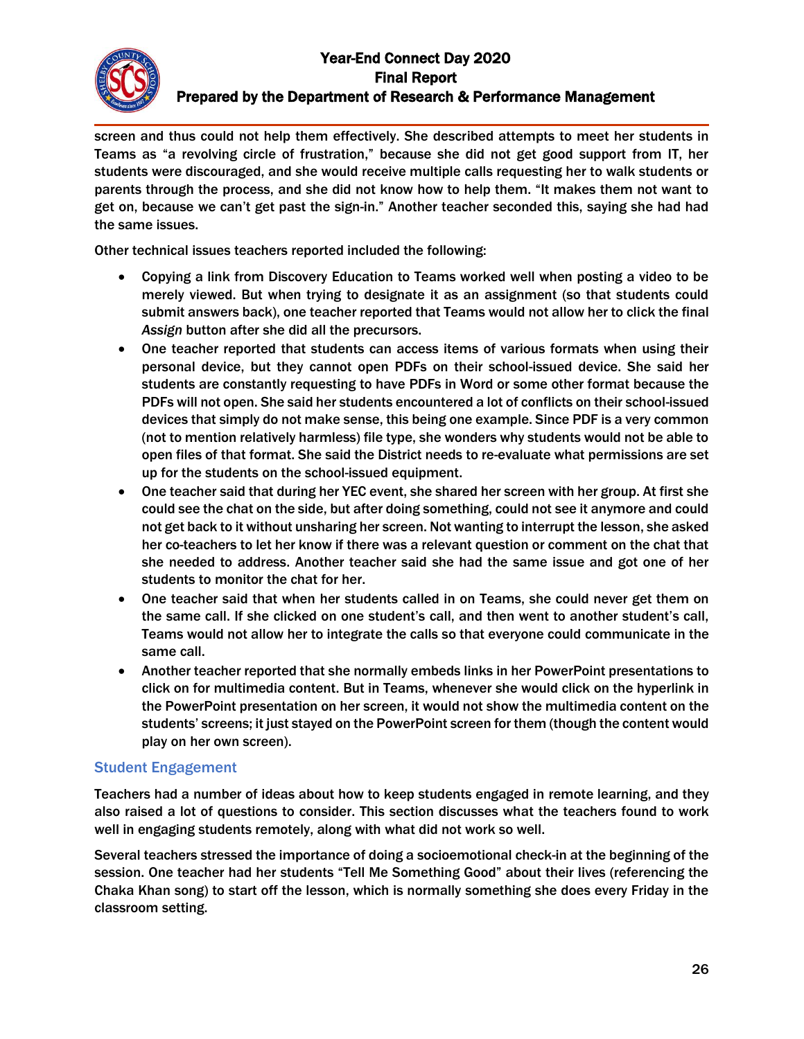screen and thus could not help them effectively. She described attempts to meet her students in Teams as "a revolving circle of frustration," because she did not get good support from IT, her students were discouraged, and she would receive multiple calls requesting her to walk students or parents through the process, and she did not know how to help them. "It makes them not want to get on, because we can't get past the sign-in." Another teacher seconded this, saying she had had the same issues.

Other technical issues teachers reported included the following:

- Copying a link from Discovery Education to Teams worked well when posting a video to be merely viewed. But when trying to designate it as an assignment (so that students could submit answers back), one teacher reported that Teams would not allow her to click the final *Assign* button after she did all the precursors.
- One teacher reported that students can access items of various formats when using their personal device, but they cannot open PDFs on their school-issued device. She said her students are constantly requesting to have PDFs in Word or some other format because the PDFs will not open. She said her students encountered a lot of conflicts on their school-issued devices that simply do not make sense, this being one example. Since PDF is a very common (not to mention relatively harmless) file type, she wonders why students would not be able to open files of that format. She said the District needs to re-evaluate what permissions are set up for the students on the school-issued equipment.
- One teacher said that during her YEC event, she shared her screen with her group. At first she could see the chat on the side, but after doing something, could not see it anymore and could not get back to it without unsharing her screen. Not wanting to interrupt the lesson, she asked her co-teachers to let her know if there was a relevant question or comment on the chat that she needed to address. Another teacher said she had the same issue and got one of her students to monitor the chat for her.
- One teacher said that when her students called in on Teams, she could never get them on the same call. If she clicked on one student's call, and then went to another student's call, Teams would not allow her to integrate the calls so that everyone could communicate in the same call.
- Another teacher reported that she normally embeds links in her PowerPoint presentations to click on for multimedia content. But in Teams, whenever she would click on the hyperlink in the PowerPoint presentation on her screen, it would not show the multimedia content on the students' screens; it just stayed on the PowerPoint screen for them (though the content would play on her own screen).

### Student Engagement

Teachers had a number of ideas about how to keep students engaged in remote learning, and they also raised a lot of questions to consider. This section discusses what the teachers found to work well in engaging students remotely, along with what did not work so well.

Several teachers stressed the importance of doing a socioemotional check-in at the beginning of the session. One teacher had her students "Tell Me Something Good" about their lives (referencing the Chaka Khan song) to start off the lesson, which is normally something she does every Friday in the classroom setting.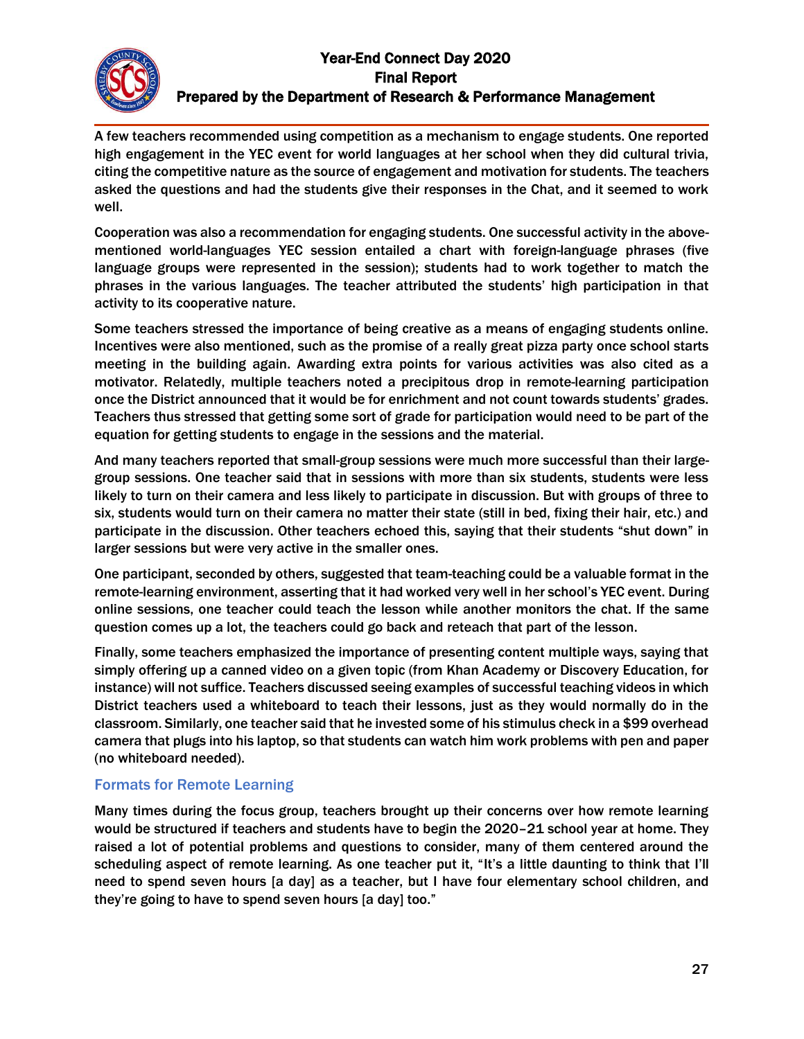A few teachers recommended using competition as a mechanism to engage students. One reported high engagement in the YEC event for world languages at her school when they did cultural trivia, citing the competitive nature as the source of engagement and motivation for students. The teachers asked the questions and had the students give their responses in the Chat, and it seemed to work well.

Cooperation was also a recommendation for engaging students. One successful activity in the abovementioned world-languages YEC session entailed a chart with foreign-language phrases (five language groups were represented in the session); students had to work together to match the phrases in the various languages. The teacher attributed the students' high participation in that activity to its cooperative nature.

Some teachers stressed the importance of being creative as a means of engaging students online. Incentives were also mentioned, such as the promise of a really great pizza party once school starts meeting in the building again. Awarding extra points for various activities was also cited as a motivator. Relatedly, multiple teachers noted a precipitous drop in remote-learning participation once the District announced that it would be for enrichment and not count towards students' grades. Teachers thus stressed that getting some sort of grade for participation would need to be part of the equation for getting students to engage in the sessions and the material.

And many teachers reported that small-group sessions were much more successful than their largegroup sessions. One teacher said that in sessions with more than six students, students were less likely to turn on their camera and less likely to participate in discussion. But with groups of three to six, students would turn on their camera no matter their state (still in bed, fixing their hair, etc.) and participate in the discussion. Other teachers echoed this, saying that their students "shut down" in larger sessions but were very active in the smaller ones.

One participant, seconded by others, suggested that team-teaching could be a valuable format in the remote-learning environment, asserting that it had worked very well in her school's YEC event. During online sessions, one teacher could teach the lesson while another monitors the chat. If the same question comes up a lot, the teachers could go back and reteach that part of the lesson.

Finally, some teachers emphasized the importance of presenting content multiple ways, saying that simply offering up a canned video on a given topic (from Khan Academy or Discovery Education, for instance) will not suffice. Teachers discussed seeing examples of successful teaching videos in which District teachers used a whiteboard to teach their lessons, just as they would normally do in the classroom. Similarly, one teacher said that he invested some of his stimulus check in a \$99 overhead camera that plugs into his laptop, so that students can watch him work problems with pen and paper (no whiteboard needed).

### Formats for Remote Learning

Many times during the focus group, teachers brought up their concerns over how remote learning would be structured if teachers and students have to begin the 2020–21 school year at home. They raised a lot of potential problems and questions to consider, many of them centered around the scheduling aspect of remote learning. As one teacher put it, "It's a little daunting to think that I'll need to spend seven hours [a day] as a teacher, but I have four elementary school children, and they're going to have to spend seven hours [a day] too."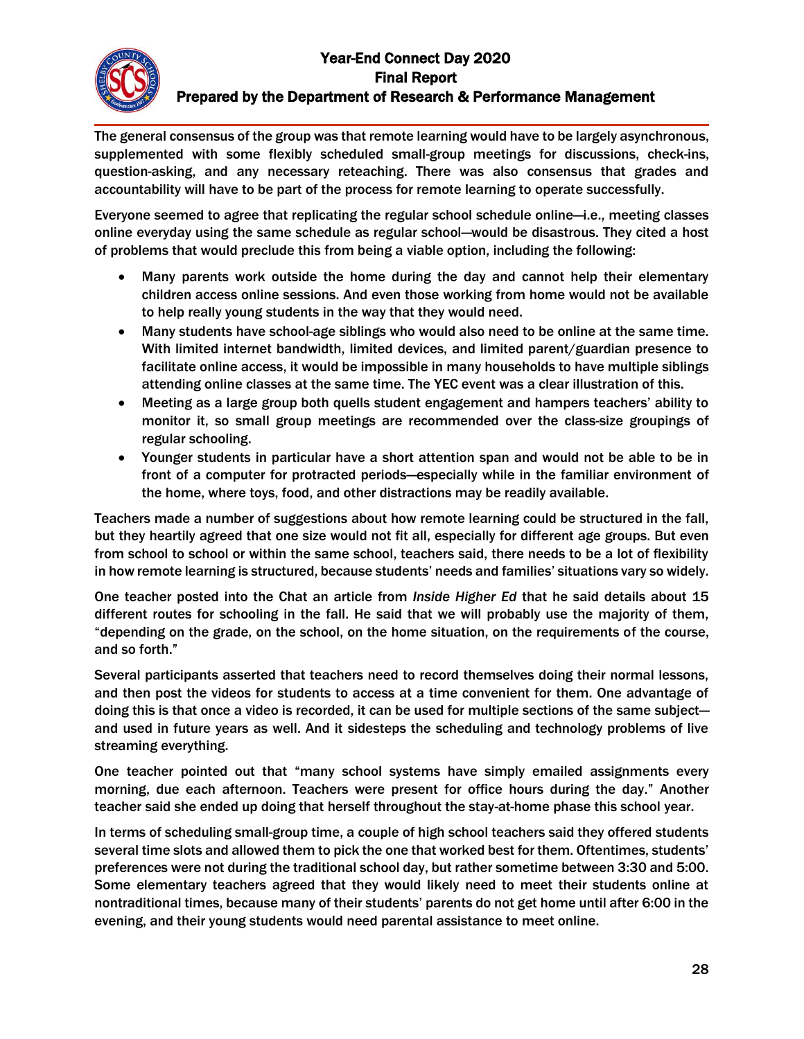The general consensus of the group was that remote learning would have to be largely asynchronous, supplemented with some flexibly scheduled small-group meetings for discussions, check-ins, question-asking, and any necessary reteaching. There was also consensus that grades and accountability will have to be part of the process for remote learning to operate successfully.

Everyone seemed to agree that replicating the regular school schedule online—i.e., meeting classes online everyday using the same schedule as regular school—would be disastrous. They cited a host of problems that would preclude this from being a viable option, including the following:

- Many parents work outside the home during the day and cannot help their elementary children access online sessions. And even those working from home would not be available to help really young students in the way that they would need.
- Many students have school-age siblings who would also need to be online at the same time. With limited internet bandwidth, limited devices, and limited parent/guardian presence to facilitate online access, it would be impossible in many households to have multiple siblings attending online classes at the same time. The YEC event was a clear illustration of this.
- Meeting as a large group both quells student engagement and hampers teachers' ability to monitor it, so small group meetings are recommended over the class-size groupings of regular schooling.
- Younger students in particular have a short attention span and would not be able to be in front of a computer for protracted periods—especially while in the familiar environment of the home, where toys, food, and other distractions may be readily available.

Teachers made a number of suggestions about how remote learning could be structured in the fall, but they heartily agreed that one size would not fit all, especially for different age groups. But even from school to school or within the same school, teachers said, there needs to be a lot of flexibility in how remote learning is structured, because students' needs and families' situations vary so widely.

One teacher posted into the Chat an article from *Inside Higher Ed* that he said details about 15 different routes for schooling in the fall. He said that we will probably use the majority of them, "depending on the grade, on the school, on the home situation, on the requirements of the course, and so forth."

Several participants asserted that teachers need to record themselves doing their normal lessons, and then post the videos for students to access at a time convenient for them. One advantage of doing this is that once a video is recorded, it can be used for multiple sections of the same subject and used in future years as well. And it sidesteps the scheduling and technology problems of live streaming everything.

One teacher pointed out that "many school systems have simply emailed assignments every morning, due each afternoon. Teachers were present for office hours during the day." Another teacher said she ended up doing that herself throughout the stay-at-home phase this school year.

In terms of scheduling small-group time, a couple of high school teachers said they offered students several time slots and allowed them to pick the one that worked best for them. Oftentimes, students' preferences were not during the traditional school day, but rather sometime between 3:30 and 5:00. Some elementary teachers agreed that they would likely need to meet their students online at nontraditional times, because many of their students' parents do not get home until after 6:00 in the evening, and their young students would need parental assistance to meet online.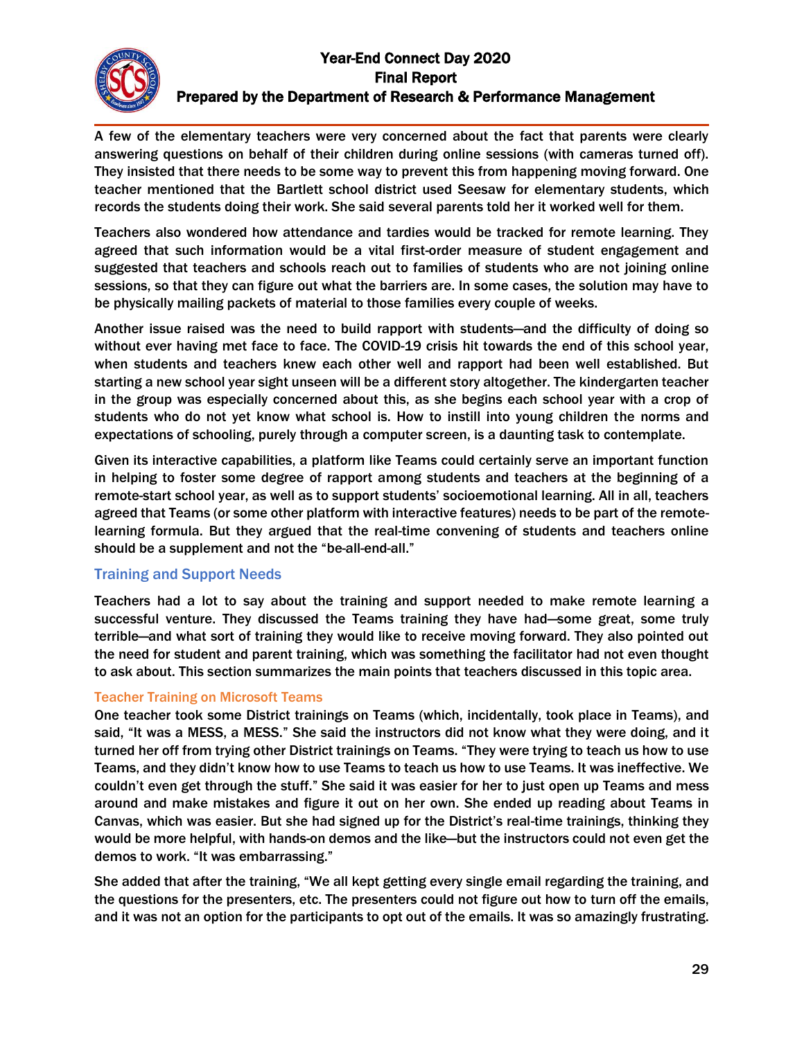A few of the elementary teachers were very concerned about the fact that parents were clearly answering questions on behalf of their children during online sessions (with cameras turned off). They insisted that there needs to be some way to prevent this from happening moving forward. One teacher mentioned that the Bartlett school district used Seesaw for elementary students, which records the students doing their work. She said several parents told her it worked well for them.

Teachers also wondered how attendance and tardies would be tracked for remote learning. They agreed that such information would be a vital first-order measure of student engagement and suggested that teachers and schools reach out to families of students who are not joining online sessions, so that they can figure out what the barriers are. In some cases, the solution may have to be physically mailing packets of material to those families every couple of weeks.

Another issue raised was the need to build rapport with students—and the difficulty of doing so without ever having met face to face. The COVID-19 crisis hit towards the end of this school year, when students and teachers knew each other well and rapport had been well established. But starting a new school year sight unseen will be a different story altogether. The kindergarten teacher in the group was especially concerned about this, as she begins each school year with a crop of students who do not yet know what school is. How to instill into young children the norms and expectations of schooling, purely through a computer screen, is a daunting task to contemplate.

Given its interactive capabilities, a platform like Teams could certainly serve an important function in helping to foster some degree of rapport among students and teachers at the beginning of a remote-start school year, as well as to support students' socioemotional learning. All in all, teachers agreed that Teams (or some other platform with interactive features) needs to be part of the remotelearning formula. But they argued that the real-time convening of students and teachers online should be a supplement and not the "be-all-end-all."

### Training and Support Needs

Teachers had a lot to say about the training and support needed to make remote learning a successful venture. They discussed the Teams training they have had—some great, some truly terrible—and what sort of training they would like to receive moving forward. They also pointed out the need for student and parent training, which was something the facilitator had not even thought to ask about. This section summarizes the main points that teachers discussed in this topic area.

#### Teacher Training on Microsoft Teams

One teacher took some District trainings on Teams (which, incidentally, took place in Teams), and said, "It was a MESS, a MESS." She said the instructors did not know what they were doing, and it turned her off from trying other District trainings on Teams. "They were trying to teach us how to use Teams, and they didn't know how to use Teams to teach us how to use Teams. It was ineffective. We couldn't even get through the stuff." She said it was easier for her to just open up Teams and mess around and make mistakes and figure it out on her own. She ended up reading about Teams in Canvas, which was easier. But she had signed up for the District's real-time trainings, thinking they would be more helpful, with hands-on demos and the like—but the instructors could not even get the demos to work. "It was embarrassing."

She added that after the training, "We all kept getting every single email regarding the training, and the questions for the presenters, etc. The presenters could not figure out how to turn off the emails, and it was not an option for the participants to opt out of the emails. It was so amazingly frustrating.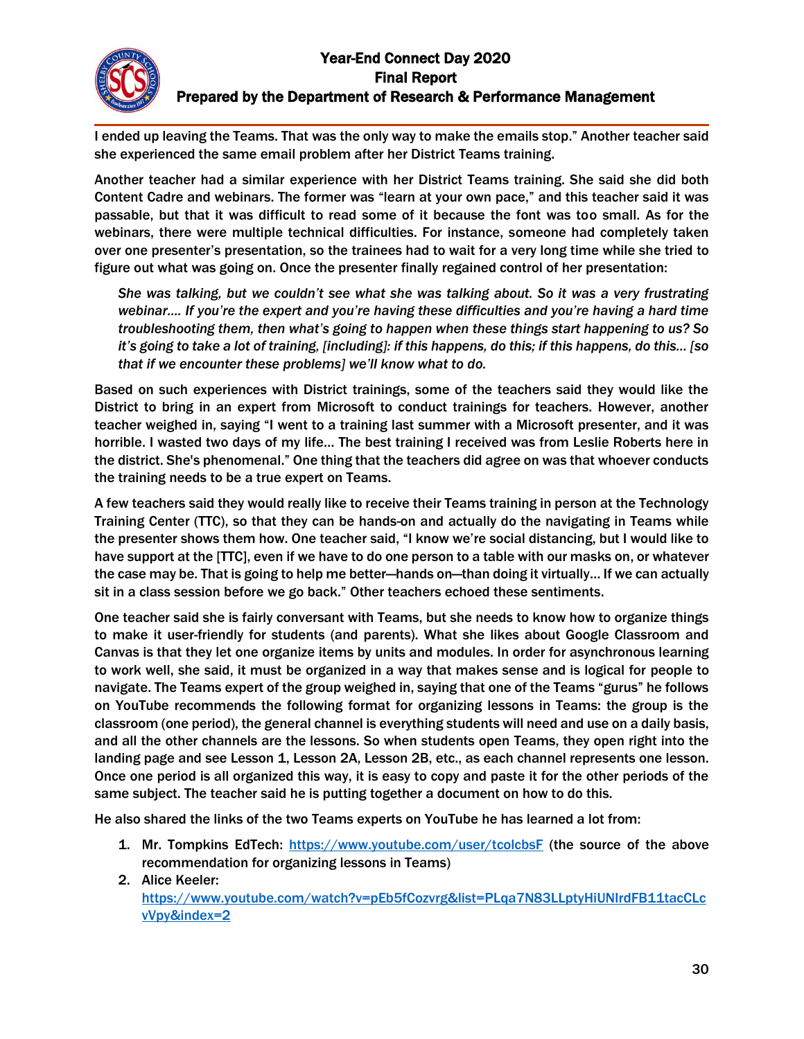I ended up leaving the Teams. That was the only way to make the emails stop." Another teacher said she experienced the same email problem after her District Teams training.

Another teacher had a similar experience with her District Teams training. She said she did both Content Cadre and webinars. The former was "learn at your own pace," and this teacher said it was passable, but that it was difficult to read some of it because the font was too small. As for the webinars, there were multiple technical difficulties. For instance, someone had completely taken over one presenter's presentation, so the trainees had to wait for a very long time while she tried to figure out what was going on. Once the presenter finally regained control of her presentation:

*She was talking, but we couldn't see what she was talking about. So it was a very frustrating webinar.... If you're the expert and you're having these difficulties and you're having a hard time troubleshooting them, then what's going to happen when these things start happening to us? So it's going to take a lot of training, [including]: if this happens, do this; if this happens, do this… [so that if we encounter these problems] we'll know what to do.*

Based on such experiences with District trainings, some of the teachers said they would like the District to bring in an expert from Microsoft to conduct trainings for teachers. However, another teacher weighed in, saying "I went to a training last summer with a Microsoft presenter, and it was horrible. I wasted two days of my life… The best training I received was from Leslie Roberts here in the district. She's phenomenal." One thing that the teachers did agree on was that whoever conducts the training needs to be a true expert on Teams.

A few teachers said they would really like to receive their Teams training in person at the Technology Training Center (TTC), so that they can be hands-on and actually do the navigating in Teams while the presenter shows them how. One teacher said, "I know we're social distancing, but I would like to have support at the [TTC], even if we have to do one person to a table with our masks on, or whatever the case may be. That is going to help me better—hands on—than doing it virtually… If we can actually sit in a class session before we go back." Other teachers echoed these sentiments.

One teacher said she is fairly conversant with Teams, but she needs to know how to organize things to make it user-friendly for students (and parents). What she likes about Google Classroom and Canvas is that they let one organize items by units and modules. In order for asynchronous learning to work well, she said, it must be organized in a way that makes sense and is logical for people to navigate. The Teams expert of the group weighed in, saying that one of the Teams "gurus" he follows on YouTube recommends the following format for organizing lessons in Teams: the group is the classroom (one period), the general channel is everything students will need and use on a daily basis, and all the other channels are the lessons. So when students open Teams, they open right into the landing page and see Lesson 1, Lesson 2A, Lesson 2B, etc., as each channel represents one lesson. Once one period is all organized this way, it is easy to copy and paste it for the other periods of the same subject. The teacher said he is putting together a document on how to do this.

He also shared the links of the two Teams experts on YouTube he has learned a lot from:

- 1. Mr. Tompkins EdTech: <https://www.youtube.com/user/tcolcbsF> (the source of the above recommendation for organizing lessons in Teams)
- 2. Alice Keeler: [https://www.youtube.com/watch?v=pEb5fCozvrg&list=PLqa7N83LLptyHiUNIrdFB11tacCLc](https://www.youtube.com/watch?v=pEb5fCozvrg&list=PLqa7N83LLptyHiUNIrdFB11tacCLcvVpy&index=2) [vVpy&index=2](https://www.youtube.com/watch?v=pEb5fCozvrg&list=PLqa7N83LLptyHiUNIrdFB11tacCLcvVpy&index=2)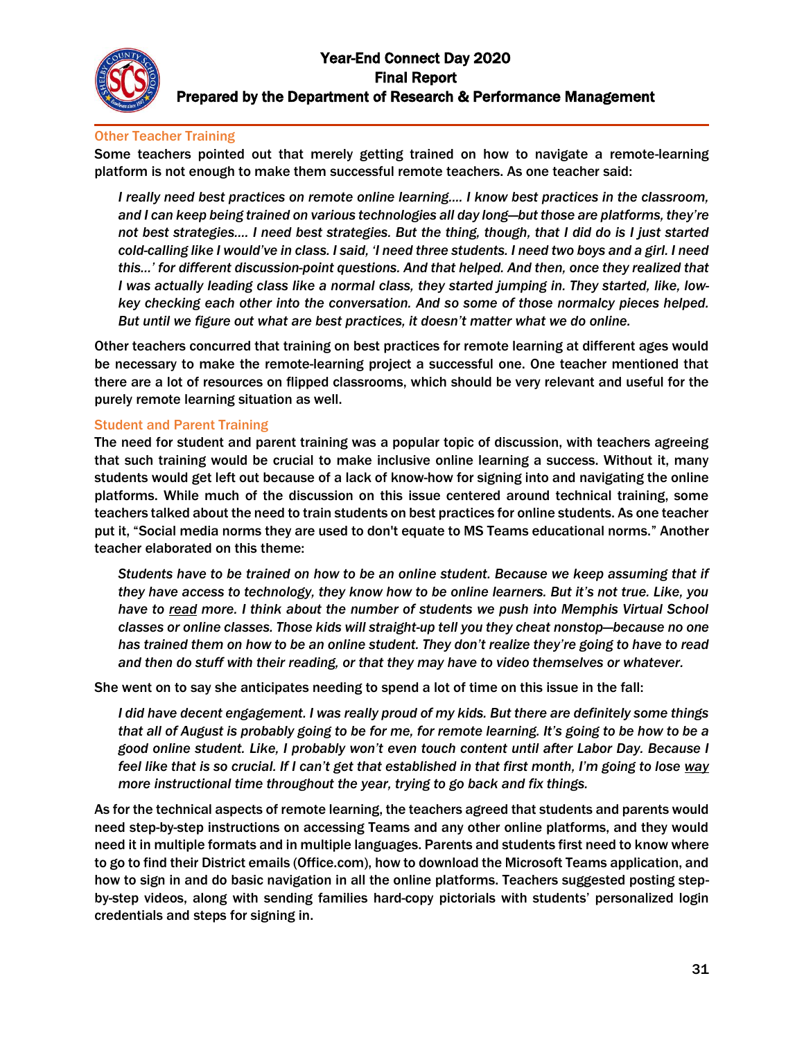#### Other Teacher Training

Some teachers pointed out that merely getting trained on how to navigate a remote-learning platform is not enough to make them successful remote teachers. As one teacher said:

*I really need best practices on remote online learning.... I know best practices in the classroom, and I can keep being trained on various technologies all day long—but those are platforms, they're not best strategies…. I need best strategies. But the thing, though, that I did do is I just started cold-calling like I would've in class. I said, 'I need three students. I need two boys and a girl. I need this…' for different discussion-point questions. And that helped. And then, once they realized that I was actually leading class like a normal class, they started jumping in. They started, like, lowkey checking each other into the conversation. And so some of those normalcy pieces helped. But until we figure out what are best practices, it doesn't matter what we do online.*

Other teachers concurred that training on best practices for remote learning at different ages would be necessary to make the remote-learning project a successful one. One teacher mentioned that there are a lot of resources on flipped classrooms, which should be very relevant and useful for the purely remote learning situation as well.

#### Student and Parent Training

The need for student and parent training was a popular topic of discussion, with teachers agreeing that such training would be crucial to make inclusive online learning a success. Without it, many students would get left out because of a lack of know-how for signing into and navigating the online platforms. While much of the discussion on this issue centered around technical training, some teachers talked about the need to train students on best practices for online students. As one teacher put it, "Social media norms they are used to don't equate to MS Teams educational norms." Another teacher elaborated on this theme:

*Students have to be trained on how to be an online student. Because we keep assuming that if they have access to technology, they know how to be online learners. But it's not true. Like, you have to read more. I think about the number of students we push into Memphis Virtual School classes or online classes. Those kids will straight-up tell you they cheat nonstop—because no one has trained them on how to be an online student. They don't realize they're going to have to read and then do stuff with their reading, or that they may have to video themselves or whatever.*

She went on to say she anticipates needing to spend a lot of time on this issue in the fall:

*I did have decent engagement. I was really proud of my kids. But there are definitely some things that all of August is probably going to be for me, for remote learning. It's going to be how to be a good online student. Like, I probably won't even touch content until after Labor Day. Because I feel like that is so crucial. If I can't get that established in that first month, I'm going to lose way more instructional time throughout the year, trying to go back and fix things.*

As for the technical aspects of remote learning, the teachers agreed that students and parents would need step-by-step instructions on accessing Teams and any other online platforms, and they would need it in multiple formats and in multiple languages. Parents and students first need to know where to go to find their District emails (Office.com), how to download the Microsoft Teams application, and how to sign in and do basic navigation in all the online platforms. Teachers suggested posting stepby-step videos, along with sending families hard-copy pictorials with students' personalized login credentials and steps for signing in.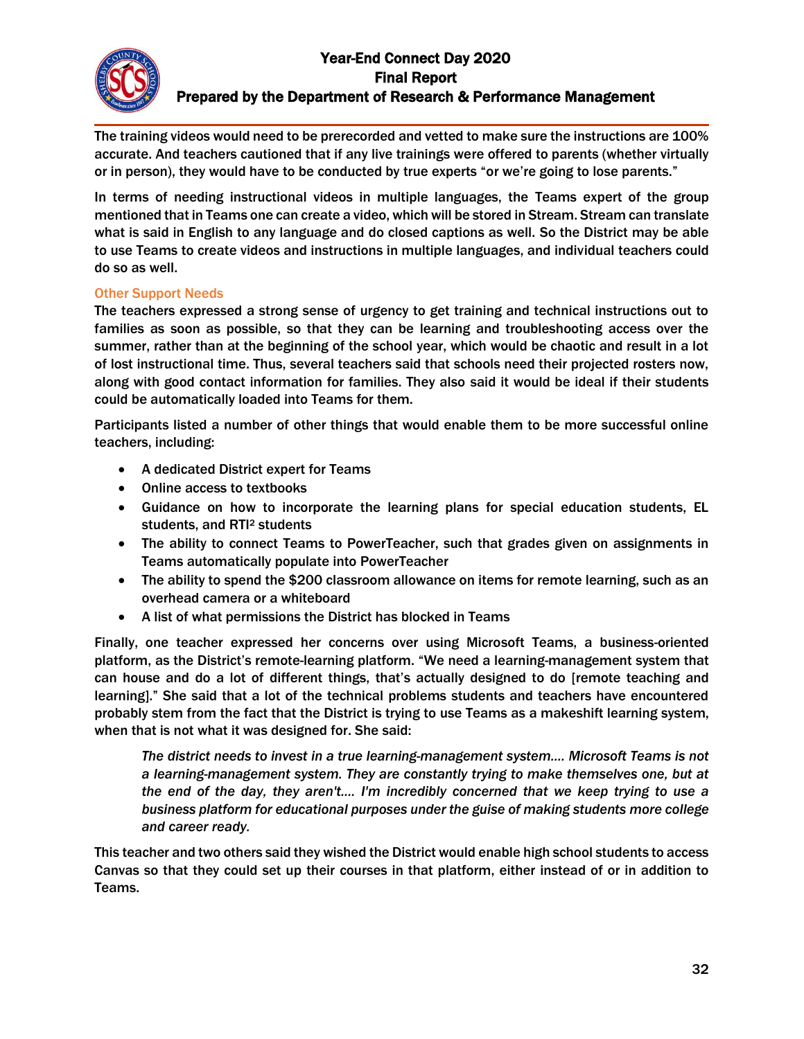The training videos would need to be prerecorded and vetted to make sure the instructions are 100% accurate. And teachers cautioned that if any live trainings were offered to parents (whether virtually or in person), they would have to be conducted by true experts "or we're going to lose parents."

In terms of needing instructional videos in multiple languages, the Teams expert of the group mentioned that in Teams one can create a video, which will be stored in Stream. Stream can translate what is said in English to any language and do closed captions as well. So the District may be able to use Teams to create videos and instructions in multiple languages, and individual teachers could do so as well.

#### Other Support Needs

The teachers expressed a strong sense of urgency to get training and technical instructions out to families as soon as possible, so that they can be learning and troubleshooting access over the summer, rather than at the beginning of the school year, which would be chaotic and result in a lot of lost instructional time. Thus, several teachers said that schools need their projected rosters now, along with good contact information for families. They also said it would be ideal if their students could be automatically loaded into Teams for them.

Participants listed a number of other things that would enable them to be more successful online teachers, including:

- A dedicated District expert for Teams
- Online access to textbooks
- Guidance on how to incorporate the learning plans for special education students, EL students, and RTI<sup>2</sup> students
- The ability to connect Teams to PowerTeacher, such that grades given on assignments in Teams automatically populate into PowerTeacher
- The ability to spend the \$200 classroom allowance on items for remote learning, such as an overhead camera or a whiteboard
- A list of what permissions the District has blocked in Teams

Finally, one teacher expressed her concerns over using Microsoft Teams, a business-oriented platform, as the District's remote-learning platform. "We need a learning-management system that can house and do a lot of different things, that's actually designed to do [remote teaching and learning]." She said that a lot of the technical problems students and teachers have encountered probably stem from the fact that the District is trying to use Teams as a makeshift learning system, when that is not what it was designed for. She said:

*The district needs to invest in a true learning-management system…. Microsoft Teams is not a learning-management system. They are constantly trying to make themselves one, but at the end of the day, they aren't…. I'm incredibly concerned that we keep trying to use a business platform for educational purposes under the guise of making students more college and career ready.*

This teacher and two others said they wished the District would enable high school students to access Canvas so that they could set up their courses in that platform, either instead of or in addition to Teams.